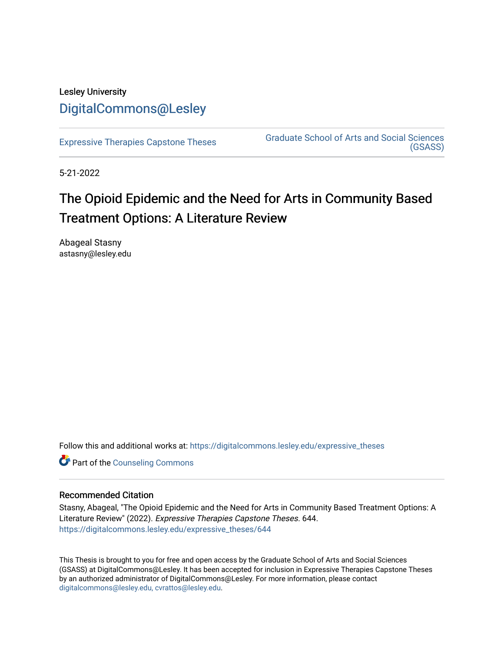## Lesley University [DigitalCommons@Lesley](https://digitalcommons.lesley.edu/)

[Expressive Therapies Capstone Theses](https://digitalcommons.lesley.edu/expressive_theses) Graduate School of Arts and Social Sciences [\(GSASS\)](https://digitalcommons.lesley.edu/gsass) 

5-21-2022

# The Opioid Epidemic and the Need for Arts in Community Based Treatment Options: A Literature Review

Abageal Stasny astasny@lesley.edu

Follow this and additional works at: [https://digitalcommons.lesley.edu/expressive\\_theses](https://digitalcommons.lesley.edu/expressive_theses?utm_source=digitalcommons.lesley.edu%2Fexpressive_theses%2F644&utm_medium=PDF&utm_campaign=PDFCoverPages)

**Part of the Counseling Commons** 

#### Recommended Citation

Stasny, Abageal, "The Opioid Epidemic and the Need for Arts in Community Based Treatment Options: A Literature Review" (2022). Expressive Therapies Capstone Theses. 644. [https://digitalcommons.lesley.edu/expressive\\_theses/644](https://digitalcommons.lesley.edu/expressive_theses/644?utm_source=digitalcommons.lesley.edu%2Fexpressive_theses%2F644&utm_medium=PDF&utm_campaign=PDFCoverPages)

This Thesis is brought to you for free and open access by the Graduate School of Arts and Social Sciences (GSASS) at DigitalCommons@Lesley. It has been accepted for inclusion in Expressive Therapies Capstone Theses by an authorized administrator of DigitalCommons@Lesley. For more information, please contact [digitalcommons@lesley.edu, cvrattos@lesley.edu](mailto:digitalcommons@lesley.edu,%20cvrattos@lesley.edu).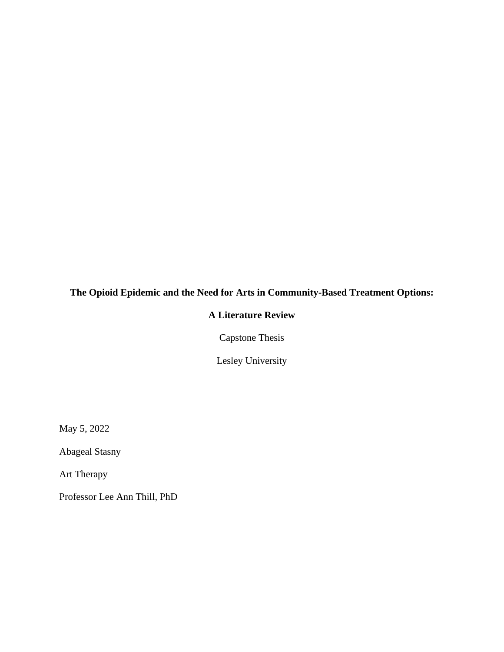## **The Opioid Epidemic and the Need for Arts in Community-Based Treatment Options:**

### **A Literature Review**

Capstone Thesis

Lesley University

May 5, 2022

Abageal Stasny

Art Therapy

Professor Lee Ann Thill, PhD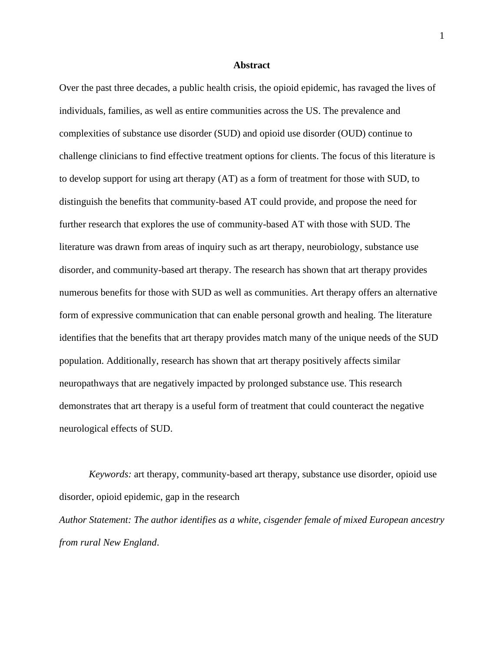#### **Abstract**

Over the past three decades, a public health crisis, the opioid epidemic, has ravaged the lives of individuals, families, as well as entire communities across the US. The prevalence and complexities of substance use disorder (SUD) and opioid use disorder (OUD) continue to challenge clinicians to find effective treatment options for clients. The focus of this literature is to develop support for using art therapy (AT) as a form of treatment for those with SUD, to distinguish the benefits that community-based AT could provide, and propose the need for further research that explores the use of community-based AT with those with SUD. The literature was drawn from areas of inquiry such as art therapy, neurobiology, substance use disorder, and community-based art therapy. The research has shown that art therapy provides numerous benefits for those with SUD as well as communities. Art therapy offers an alternative form of expressive communication that can enable personal growth and healing. The literature identifies that the benefits that art therapy provides match many of the unique needs of the SUD population. Additionally, research has shown that art therapy positively affects similar neuropathways that are negatively impacted by prolonged substance use. This research demonstrates that art therapy is a useful form of treatment that could counteract the negative neurological effects of SUD.

*Keywords:* art therapy, community-based art therapy, substance use disorder, opioid use disorder, opioid epidemic, gap in the research *Author Statement: The author identifies as a white, cisgender female of mixed European ancestry from rural New England*.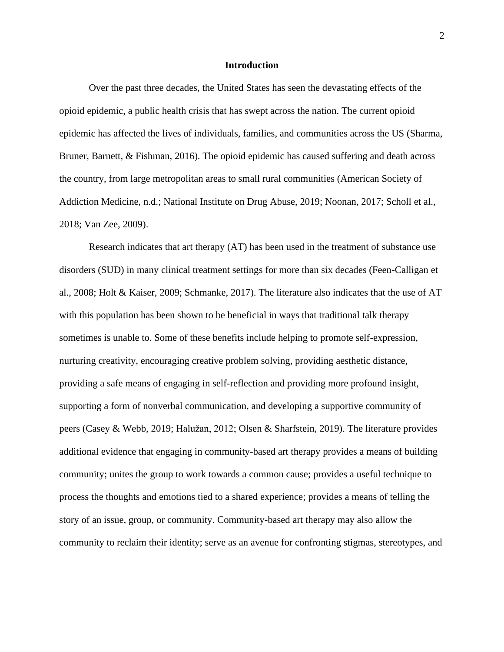#### **Introduction**

Over the past three decades, the United States has seen the devastating effects of the opioid epidemic, a public health crisis that has swept across the nation. The current opioid epidemic has affected the lives of individuals, families, and communities across the US (Sharma, Bruner, Barnett, & Fishman, 2016). The opioid epidemic has caused suffering and death across the country, from large metropolitan areas to small rural communities (American Society of Addiction Medicine, n.d.; National Institute on Drug Abuse, 2019; Noonan, 2017; Scholl et al., 2018; Van Zee, 2009).

Research indicates that art therapy (AT) has been used in the treatment of substance use disorders (SUD) in many clinical treatment settings for more than six decades (Feen-Calligan et al., 2008; Holt & Kaiser, 2009; Schmanke, 2017). The literature also indicates that the use of AT with this population has been shown to be beneficial in ways that traditional talk therapy sometimes is unable to. Some of these benefits include helping to promote self-expression, nurturing creativity, encouraging creative problem solving, providing aesthetic distance, providing a safe means of engaging in self-reflection and providing more profound insight, supporting a form of nonverbal communication, and developing a supportive community of peers (Casey & Webb, 2019; Halužan, 2012; Olsen & Sharfstein, 2019). The literature provides additional evidence that engaging in community-based art therapy provides a means of building community; unites the group to work towards a common cause; provides a useful technique to process the thoughts and emotions tied to a shared experience; provides a means of telling the story of an issue, group, or community. Community-based art therapy may also allow the community to reclaim their identity; serve as an avenue for confronting stigmas, stereotypes, and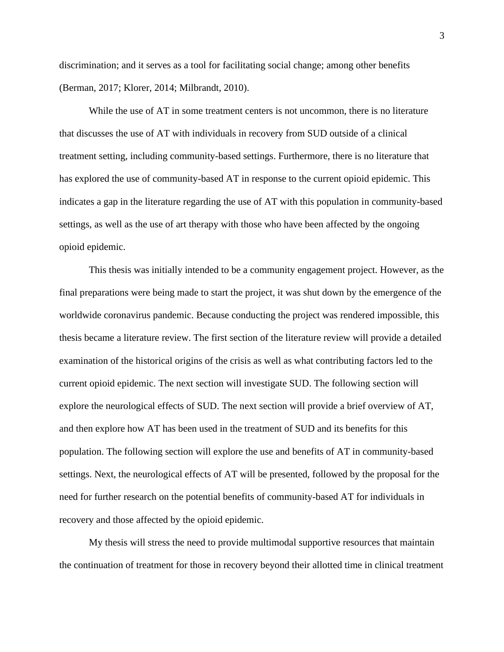discrimination; and it serves as a tool for facilitating social change; among other benefits (Berman, 2017; Klorer, 2014; Milbrandt, 2010).

While the use of AT in some treatment centers is not uncommon, there is no literature that discusses the use of AT with individuals in recovery from SUD outside of a clinical treatment setting, including community-based settings. Furthermore, there is no literature that has explored the use of community-based AT in response to the current opioid epidemic. This indicates a gap in the literature regarding the use of AT with this population in community-based settings, as well as the use of art therapy with those who have been affected by the ongoing opioid epidemic.

This thesis was initially intended to be a community engagement project. However, as the final preparations were being made to start the project, it was shut down by the emergence of the worldwide coronavirus pandemic. Because conducting the project was rendered impossible, this thesis became a literature review. The first section of the literature review will provide a detailed examination of the historical origins of the crisis as well as what contributing factors led to the current opioid epidemic. The next section will investigate SUD. The following section will explore the neurological effects of SUD. The next section will provide a brief overview of AT, and then explore how AT has been used in the treatment of SUD and its benefits for this population. The following section will explore the use and benefits of AT in community-based settings. Next, the neurological effects of AT will be presented, followed by the proposal for the need for further research on the potential benefits of community-based AT for individuals in recovery and those affected by the opioid epidemic.

My thesis will stress the need to provide multimodal supportive resources that maintain the continuation of treatment for those in recovery beyond their allotted time in clinical treatment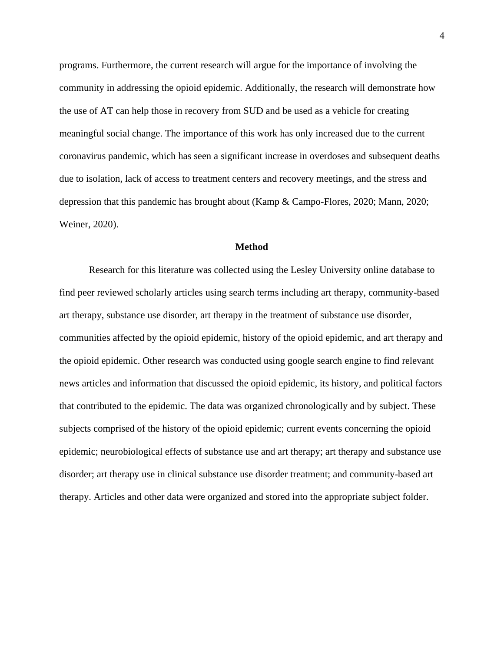programs. Furthermore, the current research will argue for the importance of involving the community in addressing the opioid epidemic. Additionally, the research will demonstrate how the use of AT can help those in recovery from SUD and be used as a vehicle for creating meaningful social change. The importance of this work has only increased due to the current coronavirus pandemic, which has seen a significant increase in overdoses and subsequent deaths due to isolation, lack of access to treatment centers and recovery meetings, and the stress and depression that this pandemic has brought about (Kamp & Campo-Flores, 2020; Mann, 2020; Weiner, 2020).

#### **Method**

Research for this literature was collected using the Lesley University online database to find peer reviewed scholarly articles using search terms including art therapy, community-based art therapy, substance use disorder, art therapy in the treatment of substance use disorder, communities affected by the opioid epidemic, history of the opioid epidemic, and art therapy and the opioid epidemic. Other research was conducted using google search engine to find relevant news articles and information that discussed the opioid epidemic, its history, and political factors that contributed to the epidemic. The data was organized chronologically and by subject. These subjects comprised of the history of the opioid epidemic; current events concerning the opioid epidemic; neurobiological effects of substance use and art therapy; art therapy and substance use disorder; art therapy use in clinical substance use disorder treatment; and community-based art therapy. Articles and other data were organized and stored into the appropriate subject folder.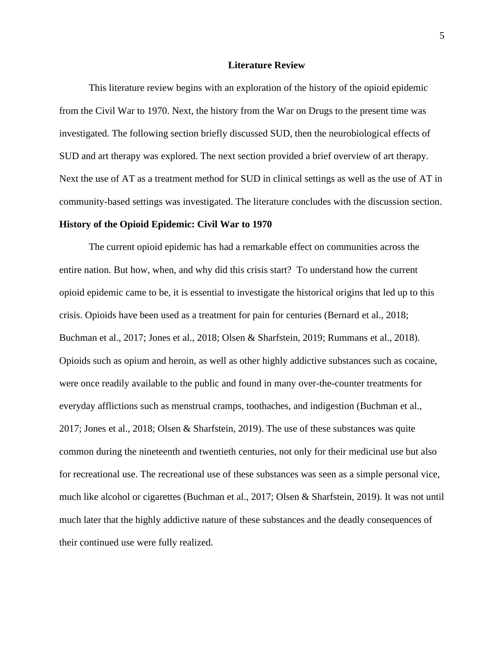#### **Literature Review**

This literature review begins with an exploration of the history of the opioid epidemic from the Civil War to 1970. Next, the history from the War on Drugs to the present time was investigated. The following section briefly discussed SUD, then the neurobiological effects of SUD and art therapy was explored. The next section provided a brief overview of art therapy. Next the use of AT as a treatment method for SUD in clinical settings as well as the use of AT in community-based settings was investigated. The literature concludes with the discussion section.

#### **History of the Opioid Epidemic: Civil War to 1970**

The current opioid epidemic has had a remarkable effect on communities across the entire nation. But how, when, and why did this crisis start? To understand how the current opioid epidemic came to be, it is essential to investigate the historical origins that led up to this crisis. Opioids have been used as a treatment for pain for centuries (Bernard et al., 2018; Buchman et al., 2017; Jones et al., 2018; Olsen & Sharfstein, 2019; Rummans et al., 2018). Opioids such as opium and heroin, as well as other highly addictive substances such as cocaine, were once readily available to the public and found in many over-the-counter treatments for everyday afflictions such as menstrual cramps, toothaches, and indigestion (Buchman et al., 2017; Jones et al., 2018; Olsen & Sharfstein, 2019). The use of these substances was quite common during the nineteenth and twentieth centuries, not only for their medicinal use but also for recreational use. The recreational use of these substances was seen as a simple personal vice, much like alcohol or cigarettes (Buchman et al., 2017; Olsen & Sharfstein, 2019). It was not until much later that the highly addictive nature of these substances and the deadly consequences of their continued use were fully realized.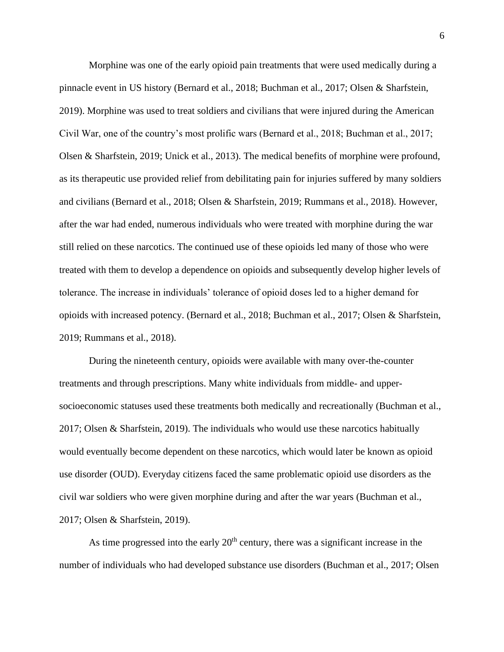Morphine was one of the early opioid pain treatments that were used medically during a pinnacle event in US history (Bernard et al., 2018; Buchman et al., 2017; Olsen & Sharfstein, 2019). Morphine was used to treat soldiers and civilians that were injured during the American Civil War, one of the country's most prolific wars (Bernard et al., 2018; Buchman et al., 2017; Olsen & Sharfstein, 2019; Unick et al., 2013). The medical benefits of morphine were profound, as its therapeutic use provided relief from debilitating pain for injuries suffered by many soldiers and civilians (Bernard et al., 2018; Olsen & Sharfstein, 2019; Rummans et al., 2018). However, after the war had ended, numerous individuals who were treated with morphine during the war still relied on these narcotics. The continued use of these opioids led many of those who were treated with them to develop a dependence on opioids and subsequently develop higher levels of tolerance. The increase in individuals' tolerance of opioid doses led to a higher demand for opioids with increased potency. (Bernard et al., 2018; Buchman et al., 2017; Olsen & Sharfstein, 2019; Rummans et al., 2018).

During the nineteenth century, opioids were available with many over-the-counter treatments and through prescriptions. Many white individuals from middle- and uppersocioeconomic statuses used these treatments both medically and recreationally (Buchman et al., 2017; Olsen & Sharfstein, 2019). The individuals who would use these narcotics habitually would eventually become dependent on these narcotics, which would later be known as opioid use disorder (OUD). Everyday citizens faced the same problematic opioid use disorders as the civil war soldiers who were given morphine during and after the war years (Buchman et al., 2017; Olsen & Sharfstein, 2019).

As time progressed into the early  $20<sup>th</sup>$  century, there was a significant increase in the number of individuals who had developed substance use disorders (Buchman et al., 2017; Olsen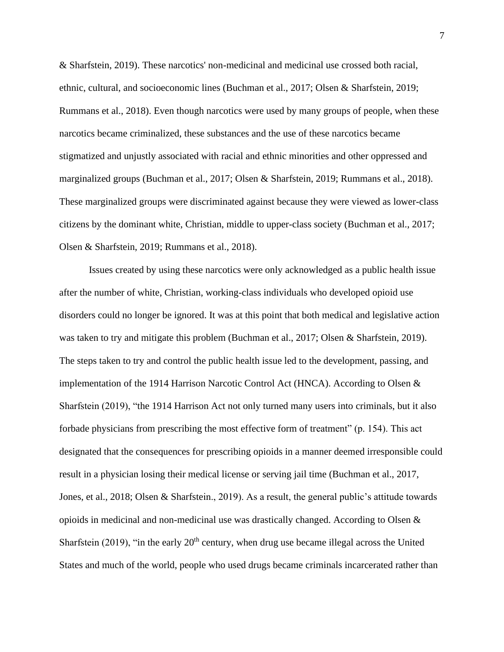& Sharfstein, 2019). These narcotics' non-medicinal and medicinal use crossed both racial, ethnic, cultural, and socioeconomic lines (Buchman et al., 2017; Olsen & Sharfstein, 2019; Rummans et al., 2018). Even though narcotics were used by many groups of people, when these narcotics became criminalized, these substances and the use of these narcotics became stigmatized and unjustly associated with racial and ethnic minorities and other oppressed and marginalized groups (Buchman et al., 2017; Olsen & Sharfstein, 2019; Rummans et al., 2018). These marginalized groups were discriminated against because they were viewed as lower-class citizens by the dominant white, Christian, middle to upper-class society (Buchman et al., 2017; Olsen & Sharfstein, 2019; Rummans et al., 2018).

Issues created by using these narcotics were only acknowledged as a public health issue after the number of white, Christian, working-class individuals who developed opioid use disorders could no longer be ignored. It was at this point that both medical and legislative action was taken to try and mitigate this problem (Buchman et al., 2017; Olsen & Sharfstein, 2019). The steps taken to try and control the public health issue led to the development, passing, and implementation of the 1914 Harrison Narcotic Control Act (HNCA). According to Olsen  $\&$ Sharfstein (2019), "the 1914 Harrison Act not only turned many users into criminals, but it also forbade physicians from prescribing the most effective form of treatment" (p. 154). This act designated that the consequences for prescribing opioids in a manner deemed irresponsible could result in a physician losing their medical license or serving jail time (Buchman et al., 2017, Jones, et al., 2018; Olsen & Sharfstein., 2019). As a result, the general public's attitude towards opioids in medicinal and non-medicinal use was drastically changed. According to Olsen & Sharfstein (2019), "in the early  $20<sup>th</sup>$  century, when drug use became illegal across the United States and much of the world, people who used drugs became criminals incarcerated rather than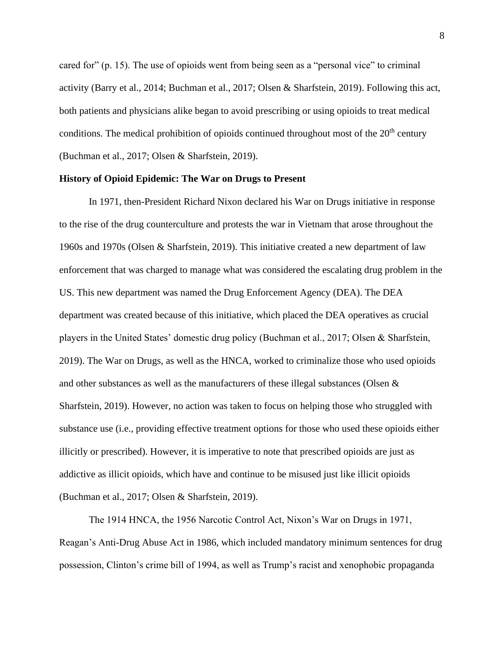cared for" (p. 15). The use of opioids went from being seen as a "personal vice" to criminal activity (Barry et al., 2014; Buchman et al., 2017; Olsen & Sharfstein, 2019). Following this act, both patients and physicians alike began to avoid prescribing or using opioids to treat medical conditions. The medical prohibition of opioids continued throughout most of the  $20<sup>th</sup>$  century (Buchman et al., 2017; Olsen & Sharfstein, 2019).

#### **History of Opioid Epidemic: The War on Drugs to Present**

In 1971, then-President Richard Nixon declared his War on Drugs initiative in response to the rise of the drug counterculture and protests the war in Vietnam that arose throughout the 1960s and 1970s (Olsen & Sharfstein, 2019). This initiative created a new department of law enforcement that was charged to manage what was considered the escalating drug problem in the US. This new department was named the Drug Enforcement Agency (DEA). The DEA department was created because of this initiative, which placed the DEA operatives as crucial players in the United States' domestic drug policy (Buchman et al., 2017; Olsen & Sharfstein, 2019). The War on Drugs, as well as the HNCA, worked to criminalize those who used opioids and other substances as well as the manufacturers of these illegal substances (Olsen  $\&$ Sharfstein, 2019). However, no action was taken to focus on helping those who struggled with substance use (i.e., providing effective treatment options for those who used these opioids either illicitly or prescribed). However, it is imperative to note that prescribed opioids are just as addictive as illicit opioids, which have and continue to be misused just like illicit opioids (Buchman et al., 2017; Olsen & Sharfstein, 2019).

The 1914 HNCA, the 1956 Narcotic Control Act, Nixon's War on Drugs in 1971, Reagan's Anti-Drug Abuse Act in 1986, which included mandatory minimum sentences for drug possession, Clinton's crime bill of 1994, as well as Trump's racist and xenophobic propaganda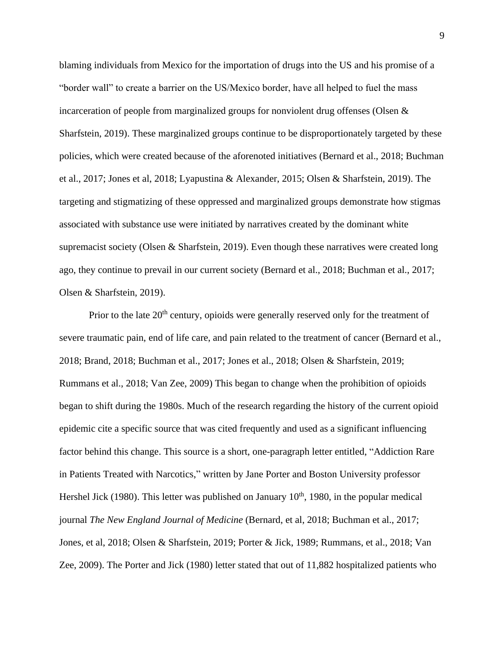blaming individuals from Mexico for the importation of drugs into the US and his promise of a "border wall" to create a barrier on the US/Mexico border, have all helped to fuel the mass incarceration of people from marginalized groups for nonviolent drug offenses (Olsen  $\&$ Sharfstein, 2019). These marginalized groups continue to be disproportionately targeted by these policies, which were created because of the aforenoted initiatives (Bernard et al., 2018; Buchman et al., 2017; Jones et al, 2018; Lyapustina & Alexander, 2015; Olsen & Sharfstein, 2019). The targeting and stigmatizing of these oppressed and marginalized groups demonstrate how stigmas associated with substance use were initiated by narratives created by the dominant white supremacist society (Olsen & Sharfstein, 2019). Even though these narratives were created long ago, they continue to prevail in our current society (Bernard et al., 2018; Buchman et al., 2017; Olsen & Sharfstein, 2019).

Prior to the late  $20<sup>th</sup>$  century, opioids were generally reserved only for the treatment of severe traumatic pain, end of life care, and pain related to the treatment of cancer (Bernard et al., 2018; Brand, 2018; Buchman et al., 2017; Jones et al., 2018; Olsen & Sharfstein, 2019; Rummans et al., 2018; Van Zee, 2009) This began to change when the prohibition of opioids began to shift during the 1980s. Much of the research regarding the history of the current opioid epidemic cite a specific source that was cited frequently and used as a significant influencing factor behind this change. This source is a short, one-paragraph letter entitled, "Addiction Rare in Patients Treated with Narcotics," written by Jane Porter and Boston University professor Hershel Jick (1980). This letter was published on January  $10<sup>th</sup>$ , 1980, in the popular medical journal *The New England Journal of Medicine* (Bernard, et al, 2018; Buchman et al., 2017; Jones, et al, 2018; Olsen & Sharfstein, 2019; Porter & Jick, 1989; Rummans, et al., 2018; Van Zee, 2009). The Porter and Jick (1980) letter stated that out of 11,882 hospitalized patients who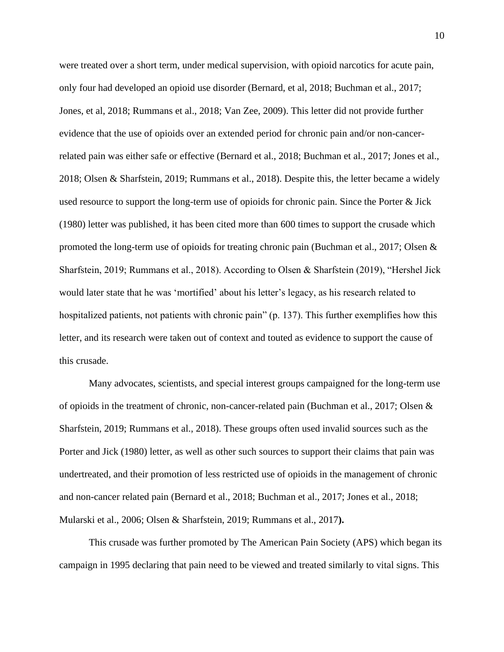were treated over a short term, under medical supervision, with opioid narcotics for acute pain, only four had developed an opioid use disorder (Bernard, et al, 2018; Buchman et al., 2017; Jones, et al, 2018; Rummans et al., 2018; Van Zee, 2009). This letter did not provide further evidence that the use of opioids over an extended period for chronic pain and/or non-cancerrelated pain was either safe or effective (Bernard et al., 2018; Buchman et al., 2017; Jones et al., 2018; Olsen & Sharfstein, 2019; Rummans et al., 2018). Despite this, the letter became a widely used resource to support the long-term use of opioids for chronic pain. Since the Porter & Jick (1980) letter was published, it has been cited more than 600 times to support the crusade which promoted the long-term use of opioids for treating chronic pain (Buchman et al., 2017; Olsen & Sharfstein, 2019; Rummans et al., 2018). According to Olsen & Sharfstein (2019), "Hershel Jick would later state that he was 'mortified' about his letter's legacy, as his research related to hospitalized patients, not patients with chronic pain" (p. 137). This further exemplifies how this letter, and its research were taken out of context and touted as evidence to support the cause of this crusade.

Many advocates, scientists, and special interest groups campaigned for the long-term use of opioids in the treatment of chronic, non-cancer-related pain (Buchman et al., 2017; Olsen & Sharfstein, 2019; Rummans et al., 2018). These groups often used invalid sources such as the Porter and Jick (1980) letter, as well as other such sources to support their claims that pain was undertreated, and their promotion of less restricted use of opioids in the management of chronic and non-cancer related pain (Bernard et al., 2018; Buchman et al., 2017; Jones et al., 2018; Mularski et al., 2006; Olsen & Sharfstein, 2019; Rummans et al., 2017**).**

This crusade was further promoted by The American Pain Society (APS) which began its campaign in 1995 declaring that pain need to be viewed and treated similarly to vital signs. This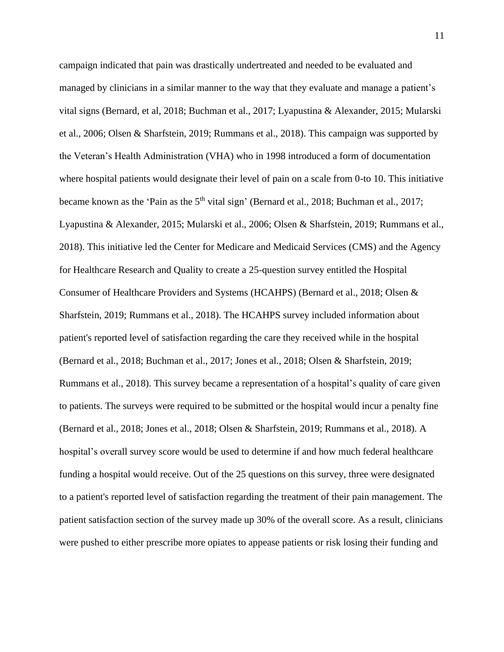campaign indicated that pain was drastically undertreated and needed to be evaluated and managed by clinicians in a similar manner to the way that they evaluate and manage a patient's vital signs (Bernard, et al, 2018; Buchman et al., 2017; Lyapustina & Alexander, 2015; Mularski et al., 2006; Olsen & Sharfstein, 2019; Rummans et al., 2018). This campaign was supported by the Veteran's Health Administration (VHA) who in 1998 introduced a form of documentation where hospital patients would designate their level of pain on a scale from 0-to 10. This initiative became known as the 'Pain as the  $5<sup>th</sup>$  vital sign' (Bernard et al., 2018; Buchman et al., 2017; Lyapustina & Alexander, 2015; Mularski et al., 2006; Olsen & Sharfstein, 2019; Rummans et al., 2018). This initiative led the Center for Medicare and Medicaid Services (CMS) and the Agency for Healthcare Research and Quality to create a 25-question survey entitled the Hospital Consumer of Healthcare Providers and Systems (HCAHPS) (Bernard et al., 2018; Olsen & Sharfstein, 2019; Rummans et al., 2018). The HCAHPS survey included information about patient's reported level of satisfaction regarding the care they received while in the hospital (Bernard et al., 2018; Buchman et al., 2017; Jones et al., 2018; Olsen & Sharfstein, 2019; Rummans et al., 2018). This survey became a representation of a hospital's quality of care given to patients. The surveys were required to be submitted or the hospital would incur a penalty fine (Bernard et al., 2018; Jones et al., 2018; Olsen & Sharfstein, 2019; Rummans et al., 2018). A hospital's overall survey score would be used to determine if and how much federal healthcare funding a hospital would receive. Out of the 25 questions on this survey, three were designated to a patient's reported level of satisfaction regarding the treatment of their pain management. The patient satisfaction section of the survey made up 30% of the overall score. As a result, clinicians were pushed to either prescribe more opiates to appease patients or risk losing their funding and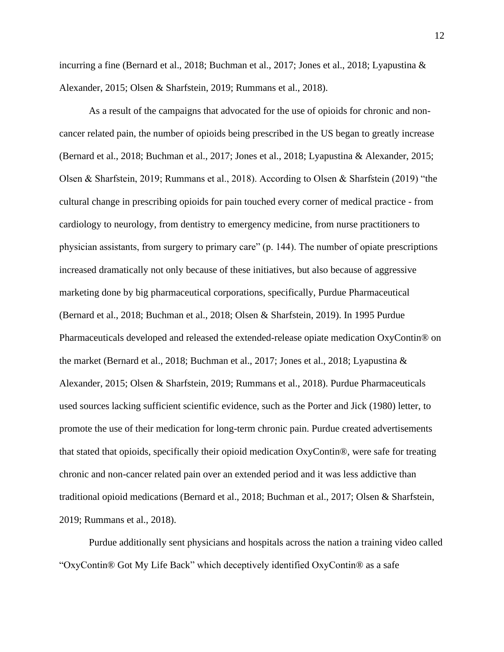incurring a fine (Bernard et al., 2018; Buchman et al., 2017; Jones et al., 2018; Lyapustina & Alexander, 2015; Olsen & Sharfstein, 2019; Rummans et al., 2018).

As a result of the campaigns that advocated for the use of opioids for chronic and noncancer related pain, the number of opioids being prescribed in the US began to greatly increase (Bernard et al., 2018; Buchman et al., 2017; Jones et al., 2018; Lyapustina & Alexander, 2015; Olsen & Sharfstein, 2019; Rummans et al., 2018). According to Olsen & Sharfstein (2019) "the cultural change in prescribing opioids for pain touched every corner of medical practice - from cardiology to neurology, from dentistry to emergency medicine, from nurse practitioners to physician assistants, from surgery to primary care" (p. 144). The number of opiate prescriptions increased dramatically not only because of these initiatives, but also because of aggressive marketing done by big pharmaceutical corporations, specifically, Purdue Pharmaceutical (Bernard et al., 2018; Buchman et al., 2018; Olsen & Sharfstein, 2019). In 1995 Purdue Pharmaceuticals developed and released the extended-release opiate medication OxyContin® on the market (Bernard et al., 2018; Buchman et al., 2017; Jones et al., 2018; Lyapustina & Alexander, 2015; Olsen & Sharfstein, 2019; Rummans et al., 2018). Purdue Pharmaceuticals used sources lacking sufficient scientific evidence, such as the Porter and Jick (1980) letter, to promote the use of their medication for long-term chronic pain. Purdue created advertisements that stated that opioids, specifically their opioid medication OxyContin®, were safe for treating chronic and non-cancer related pain over an extended period and it was less addictive than traditional opioid medications (Bernard et al., 2018; Buchman et al., 2017; Olsen & Sharfstein, 2019; Rummans et al., 2018).

Purdue additionally sent physicians and hospitals across the nation a training video called "OxyContin® Got My Life Back" which deceptively identified OxyContin® as a safe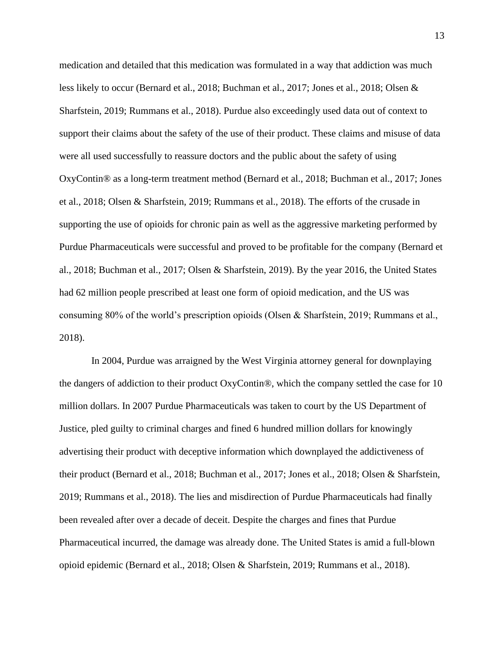medication and detailed that this medication was formulated in a way that addiction was much less likely to occur (Bernard et al., 2018; Buchman et al., 2017; Jones et al., 2018; Olsen & Sharfstein, 2019; Rummans et al., 2018). Purdue also exceedingly used data out of context to support their claims about the safety of the use of their product. These claims and misuse of data were all used successfully to reassure doctors and the public about the safety of using OxyContin® as a long-term treatment method (Bernard et al., 2018; Buchman et al., 2017; Jones et al., 2018; Olsen & Sharfstein, 2019; Rummans et al., 2018). The efforts of the crusade in supporting the use of opioids for chronic pain as well as the aggressive marketing performed by Purdue Pharmaceuticals were successful and proved to be profitable for the company (Bernard et al., 2018; Buchman et al., 2017; Olsen & Sharfstein, 2019). By the year 2016, the United States had 62 million people prescribed at least one form of opioid medication, and the US was consuming 80% of the world's prescription opioids (Olsen & Sharfstein, 2019; Rummans et al., 2018).

In 2004, Purdue was arraigned by the West Virginia attorney general for downplaying the dangers of addiction to their product OxyContin®, which the company settled the case for 10 million dollars. In 2007 Purdue Pharmaceuticals was taken to court by the US Department of Justice, pled guilty to criminal charges and fined 6 hundred million dollars for knowingly advertising their product with deceptive information which downplayed the addictiveness of their product (Bernard et al., 2018; Buchman et al., 2017; Jones et al., 2018; Olsen & Sharfstein, 2019; Rummans et al., 2018). The lies and misdirection of Purdue Pharmaceuticals had finally been revealed after over a decade of deceit. Despite the charges and fines that Purdue Pharmaceutical incurred, the damage was already done. The United States is amid a full-blown opioid epidemic (Bernard et al., 2018; Olsen & Sharfstein, 2019; Rummans et al., 2018).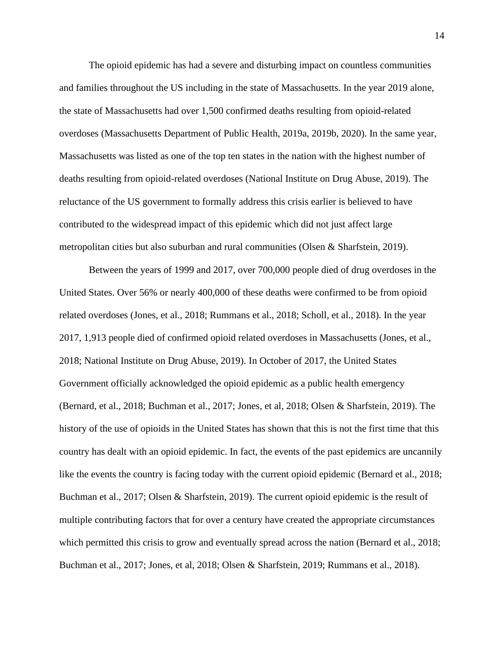The opioid epidemic has had a severe and disturbing impact on countless communities and families throughout the US including in the state of Massachusetts. In the year 2019 alone, the state of Massachusetts had over 1,500 confirmed deaths resulting from opioid-related overdoses (Massachusetts Department of Public Health, 2019a, 2019b, 2020). In the same year, Massachusetts was listed as one of the top ten states in the nation with the highest number of deaths resulting from opioid-related overdoses (National Institute on Drug Abuse, 2019). The reluctance of the US government to formally address this crisis earlier is believed to have contributed to the widespread impact of this epidemic which did not just affect large metropolitan cities but also suburban and rural communities (Olsen & Sharfstein, 2019).

Between the years of 1999 and 2017, over 700,000 people died of drug overdoses in the United States. Over 56% or nearly 400,000 of these deaths were confirmed to be from opioid related overdoses (Jones, et al., 2018; Rummans et al., 2018; Scholl, et al., 2018). In the year 2017, 1,913 people died of confirmed opioid related overdoses in Massachusetts (Jones, et al., 2018; National Institute on Drug Abuse, 2019). In October of 2017, the United States Government officially acknowledged the opioid epidemic as a public health emergency (Bernard, et al., 2018; Buchman et al., 2017; Jones, et al, 2018; Olsen & Sharfstein, 2019). The history of the use of opioids in the United States has shown that this is not the first time that this country has dealt with an opioid epidemic. In fact, the events of the past epidemics are uncannily like the events the country is facing today with the current opioid epidemic (Bernard et al., 2018; Buchman et al., 2017; Olsen & Sharfstein, 2019). The current opioid epidemic is the result of multiple contributing factors that for over a century have created the appropriate circumstances which permitted this crisis to grow and eventually spread across the nation (Bernard et al., 2018; Buchman et al., 2017; Jones, et al, 2018; Olsen & Sharfstein, 2019; Rummans et al., 2018).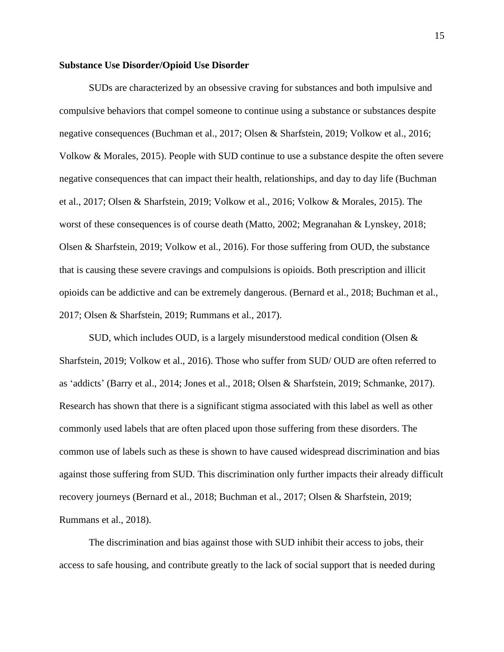#### **Substance Use Disorder/Opioid Use Disorder**

SUDs are characterized by an obsessive craving for substances and both impulsive and compulsive behaviors that compel someone to continue using a substance or substances despite negative consequences (Buchman et al., 2017; Olsen & Sharfstein, 2019; Volkow et al., 2016; Volkow & Morales, 2015). People with SUD continue to use a substance despite the often severe negative consequences that can impact their health, relationships, and day to day life (Buchman et al., 2017; Olsen & Sharfstein, 2019; Volkow et al., 2016; Volkow & Morales, 2015). The worst of these consequences is of course death (Matto, 2002; Megranahan & Lynskey, 2018; Olsen & Sharfstein, 2019; Volkow et al., 2016). For those suffering from OUD, the substance that is causing these severe cravings and compulsions is opioids. Both prescription and illicit opioids can be addictive and can be extremely dangerous. (Bernard et al., 2018; Buchman et al., 2017; Olsen & Sharfstein, 2019; Rummans et al., 2017).

SUD, which includes OUD, is a largely misunderstood medical condition (Olsen  $\&$ Sharfstein, 2019; Volkow et al., 2016). Those who suffer from SUD/ OUD are often referred to as 'addicts' (Barry et al., 2014; Jones et al., 2018; Olsen & Sharfstein, 2019; Schmanke, 2017). Research has shown that there is a significant stigma associated with this label as well as other commonly used labels that are often placed upon those suffering from these disorders. The common use of labels such as these is shown to have caused widespread discrimination and bias against those suffering from SUD. This discrimination only further impacts their already difficult recovery journeys (Bernard et al., 2018; Buchman et al., 2017; Olsen & Sharfstein, 2019; Rummans et al., 2018).

The discrimination and bias against those with SUD inhibit their access to jobs, their access to safe housing, and contribute greatly to the lack of social support that is needed during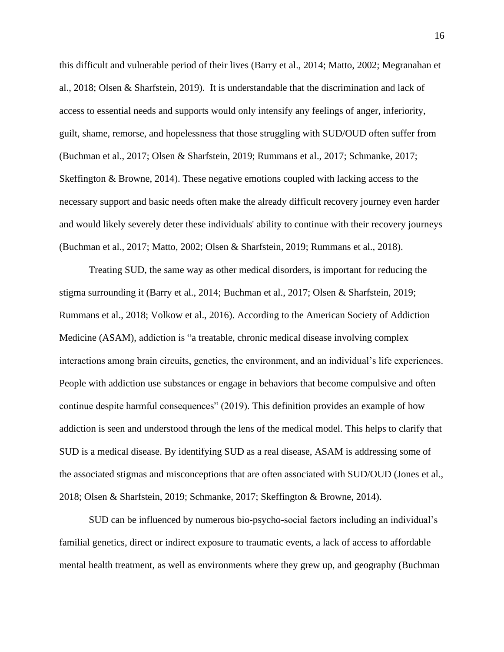this difficult and vulnerable period of their lives (Barry et al., 2014; Matto, 2002; Megranahan et al., 2018; Olsen & Sharfstein, 2019). It is understandable that the discrimination and lack of access to essential needs and supports would only intensify any feelings of anger, inferiority, guilt, shame, remorse, and hopelessness that those struggling with SUD/OUD often suffer from (Buchman et al., 2017; Olsen & Sharfstein, 2019; Rummans et al., 2017; Schmanke, 2017; Skeffington & Browne, 2014). These negative emotions coupled with lacking access to the necessary support and basic needs often make the already difficult recovery journey even harder and would likely severely deter these individuals' ability to continue with their recovery journeys (Buchman et al., 2017; Matto, 2002; Olsen & Sharfstein, 2019; Rummans et al., 2018).

Treating SUD, the same way as other medical disorders, is important for reducing the stigma surrounding it (Barry et al., 2014; Buchman et al., 2017; Olsen & Sharfstein, 2019; Rummans et al., 2018; Volkow et al., 2016). According to the American Society of Addiction Medicine (ASAM), addiction is "a treatable, chronic medical disease involving complex interactions among brain circuits, genetics, the environment, and an individual's life experiences. People with addiction use substances or engage in behaviors that become compulsive and often continue despite harmful consequences" (2019). This definition provides an example of how addiction is seen and understood through the lens of the medical model. This helps to clarify that SUD is a medical disease. By identifying SUD as a real disease, ASAM is addressing some of the associated stigmas and misconceptions that are often associated with SUD/OUD (Jones et al., 2018; Olsen & Sharfstein, 2019; Schmanke, 2017; Skeffington & Browne, 2014).

SUD can be influenced by numerous bio-psycho-social factors including an individual's familial genetics, direct or indirect exposure to traumatic events, a lack of access to affordable mental health treatment, as well as environments where they grew up, and geography (Buchman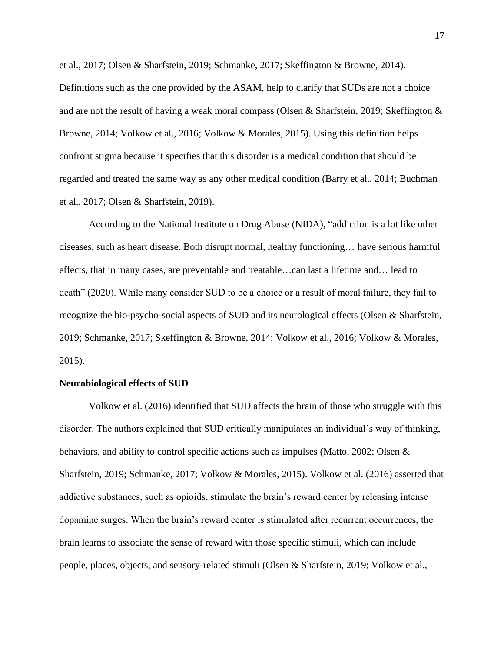et al., 2017; Olsen & Sharfstein, 2019; Schmanke, 2017; Skeffington & Browne, 2014). Definitions such as the one provided by the ASAM, help to clarify that SUDs are not a choice and are not the result of having a weak moral compass (Olsen & Sharfstein, 2019; Skeffington & Browne, 2014; Volkow et al., 2016; Volkow & Morales, 2015). Using this definition helps confront stigma because it specifies that this disorder is a medical condition that should be regarded and treated the same way as any other medical condition (Barry et al., 2014; Buchman et al., 2017; Olsen & Sharfstein, 2019).

According to the National Institute on Drug Abuse (NIDA), "addiction is a lot like other diseases, such as heart disease. Both disrupt normal, healthy functioning… have serious harmful effects, that in many cases, are preventable and treatable…can last a lifetime and… lead to death" (2020). While many consider SUD to be a choice or a result of moral failure, they fail to recognize the bio-psycho-social aspects of SUD and its neurological effects (Olsen & Sharfstein, 2019; Schmanke, 2017; Skeffington & Browne, 2014; Volkow et al., 2016; Volkow & Morales, 2015).

#### **Neurobiological effects of SUD**

Volkow et al. (2016) identified that SUD affects the brain of those who struggle with this disorder. The authors explained that SUD critically manipulates an individual's way of thinking, behaviors, and ability to control specific actions such as impulses (Matto, 2002; Olsen & Sharfstein, 2019; Schmanke, 2017; Volkow & Morales, 2015). Volkow et al. (2016) asserted that addictive substances, such as opioids, stimulate the brain's reward center by releasing intense dopamine surges. When the brain's reward center is stimulated after recurrent occurrences, the brain learns to associate the sense of reward with those specific stimuli, which can include people, places, objects, and sensory-related stimuli (Olsen & Sharfstein, 2019; Volkow et al.,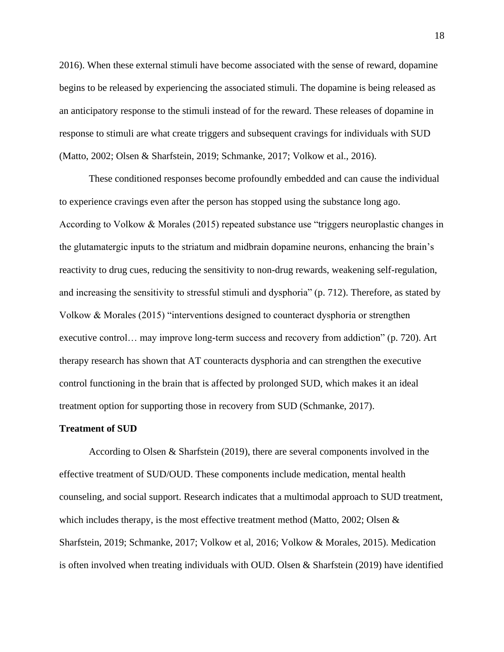2016). When these external stimuli have become associated with the sense of reward, dopamine begins to be released by experiencing the associated stimuli. The dopamine is being released as an anticipatory response to the stimuli instead of for the reward. These releases of dopamine in response to stimuli are what create triggers and subsequent cravings for individuals with SUD (Matto, 2002; Olsen & Sharfstein, 2019; Schmanke, 2017; Volkow et al., 2016).

These conditioned responses become profoundly embedded and can cause the individual to experience cravings even after the person has stopped using the substance long ago. According to Volkow & Morales (2015) repeated substance use "triggers neuroplastic changes in the glutamatergic inputs to the striatum and midbrain dopamine neurons, enhancing the brain's reactivity to drug cues, reducing the sensitivity to non-drug rewards, weakening self-regulation, and increasing the sensitivity to stressful stimuli and dysphoria" (p. 712). Therefore, as stated by Volkow & Morales (2015) "interventions designed to counteract dysphoria or strengthen executive control… may improve long-term success and recovery from addiction" (p. 720). Art therapy research has shown that AT counteracts dysphoria and can strengthen the executive control functioning in the brain that is affected by prolonged SUD, which makes it an ideal treatment option for supporting those in recovery from SUD (Schmanke, 2017).

#### **Treatment of SUD**

According to Olsen & Sharfstein (2019), there are several components involved in the effective treatment of SUD/OUD. These components include medication, mental health counseling, and social support. Research indicates that a multimodal approach to SUD treatment, which includes therapy, is the most effective treatment method (Matto, 2002; Olsen  $\&$ Sharfstein, 2019; Schmanke, 2017; Volkow et al, 2016; Volkow & Morales, 2015). Medication is often involved when treating individuals with OUD. Olsen & Sharfstein (2019) have identified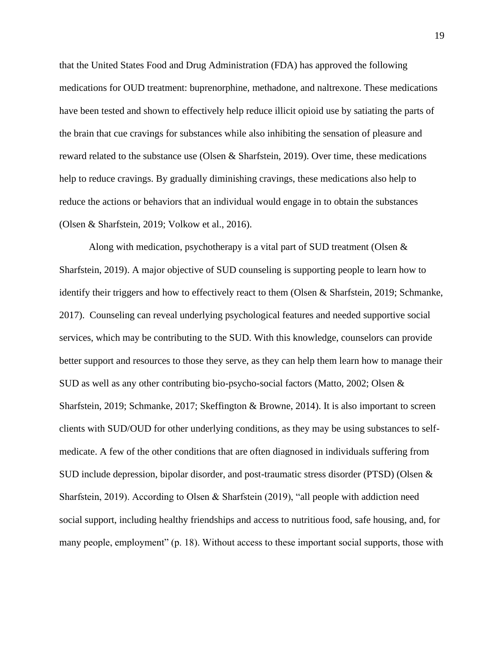that the United States Food and Drug Administration (FDA) has approved the following medications for OUD treatment: buprenorphine, methadone, and naltrexone. These medications have been tested and shown to effectively help reduce illicit opioid use by satiating the parts of the brain that cue cravings for substances while also inhibiting the sensation of pleasure and reward related to the substance use (Olsen & Sharfstein, 2019). Over time, these medications help to reduce cravings. By gradually diminishing cravings, these medications also help to reduce the actions or behaviors that an individual would engage in to obtain the substances (Olsen & Sharfstein, 2019; Volkow et al., 2016).

Along with medication, psychotherapy is a vital part of SUD treatment (Olsen  $\&$ Sharfstein, 2019). A major objective of SUD counseling is supporting people to learn how to identify their triggers and how to effectively react to them (Olsen & Sharfstein, 2019; Schmanke, 2017). Counseling can reveal underlying psychological features and needed supportive social services, which may be contributing to the SUD. With this knowledge, counselors can provide better support and resources to those they serve, as they can help them learn how to manage their SUD as well as any other contributing bio-psycho-social factors (Matto, 2002; Olsen & Sharfstein, 2019; Schmanke, 2017; Skeffington & Browne, 2014). It is also important to screen clients with SUD/OUD for other underlying conditions, as they may be using substances to selfmedicate. A few of the other conditions that are often diagnosed in individuals suffering from SUD include depression, bipolar disorder, and post-traumatic stress disorder (PTSD) (Olsen & Sharfstein, 2019). According to Olsen & Sharfstein (2019), "all people with addiction need social support, including healthy friendships and access to nutritious food, safe housing, and, for many people, employment" (p. 18). Without access to these important social supports, those with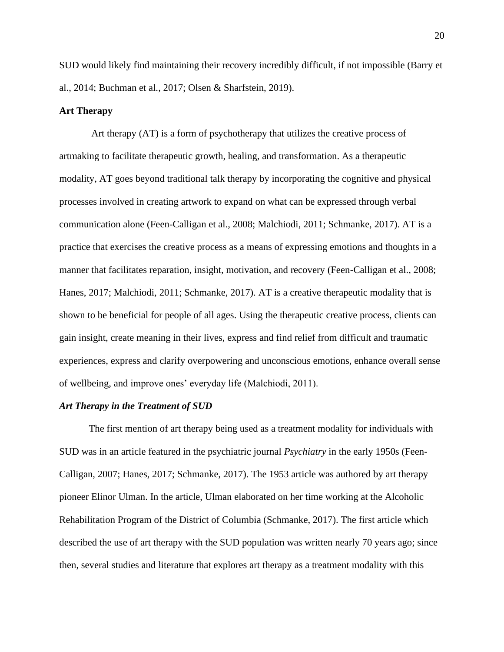SUD would likely find maintaining their recovery incredibly difficult, if not impossible (Barry et al., 2014; Buchman et al., 2017; Olsen & Sharfstein, 2019).

#### **Art Therapy**

Art therapy (AT) is a form of psychotherapy that utilizes the creative process of artmaking to facilitate therapeutic growth, healing, and transformation. As a therapeutic modality, AT goes beyond traditional talk therapy by incorporating the cognitive and physical processes involved in creating artwork to expand on what can be expressed through verbal communication alone (Feen-Calligan et al., 2008; Malchiodi, 2011; Schmanke, 2017). AT is a practice that exercises the creative process as a means of expressing emotions and thoughts in a manner that facilitates reparation, insight, motivation, and recovery (Feen-Calligan et al., 2008; Hanes, 2017; Malchiodi, 2011; Schmanke, 2017). AT is a creative therapeutic modality that is shown to be beneficial for people of all ages. Using the therapeutic creative process, clients can gain insight, create meaning in their lives, express and find relief from difficult and traumatic experiences, express and clarify overpowering and unconscious emotions, enhance overall sense of wellbeing, and improve ones' everyday life (Malchiodi, 2011).

#### *Art Therapy in the Treatment of SUD*

The first mention of art therapy being used as a treatment modality for individuals with SUD was in an article featured in the psychiatric journal *Psychiatry* in the early 1950s (Feen-Calligan, 2007; Hanes, 2017; Schmanke, 2017). The 1953 article was authored by art therapy pioneer Elinor Ulman. In the article, Ulman elaborated on her time working at the Alcoholic Rehabilitation Program of the District of Columbia (Schmanke, 2017). The first article which described the use of art therapy with the SUD population was written nearly 70 years ago; since then, several studies and literature that explores art therapy as a treatment modality with this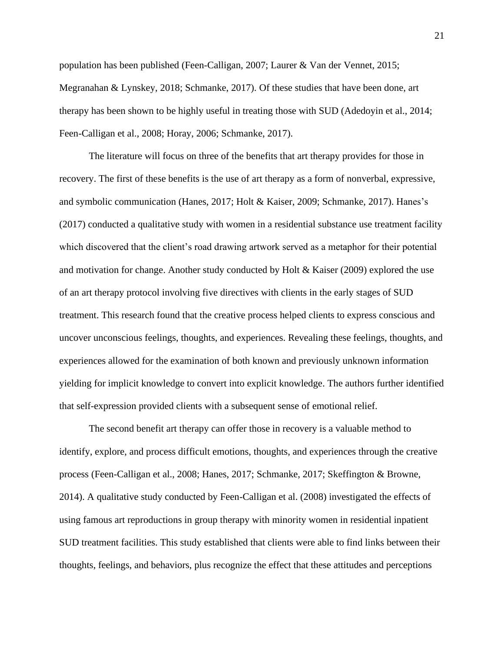population has been published (Feen-Calligan, 2007; Laurer & Van der Vennet, 2015; Megranahan & Lynskey, 2018; Schmanke, 2017). Of these studies that have been done, art therapy has been shown to be highly useful in treating those with SUD (Adedoyin et al., 2014; Feen-Calligan et al., 2008; Horay, 2006; Schmanke, 2017).

The literature will focus on three of the benefits that art therapy provides for those in recovery. The first of these benefits is the use of art therapy as a form of nonverbal, expressive, and symbolic communication (Hanes, 2017; Holt & Kaiser, 2009; Schmanke, 2017). Hanes's (2017) conducted a qualitative study with women in a residential substance use treatment facility which discovered that the client's road drawing artwork served as a metaphor for their potential and motivation for change. Another study conducted by Holt & Kaiser (2009) explored the use of an art therapy protocol involving five directives with clients in the early stages of SUD treatment. This research found that the creative process helped clients to express conscious and uncover unconscious feelings, thoughts, and experiences. Revealing these feelings, thoughts, and experiences allowed for the examination of both known and previously unknown information yielding for implicit knowledge to convert into explicit knowledge. The authors further identified that self-expression provided clients with a subsequent sense of emotional relief.

The second benefit art therapy can offer those in recovery is a valuable method to identify, explore, and process difficult emotions, thoughts, and experiences through the creative process (Feen-Calligan et al., 2008; Hanes, 2017; Schmanke, 2017; Skeffington & Browne, 2014). A qualitative study conducted by Feen-Calligan et al. (2008) investigated the effects of using famous art reproductions in group therapy with minority women in residential inpatient SUD treatment facilities. This study established that clients were able to find links between their thoughts, feelings, and behaviors, plus recognize the effect that these attitudes and perceptions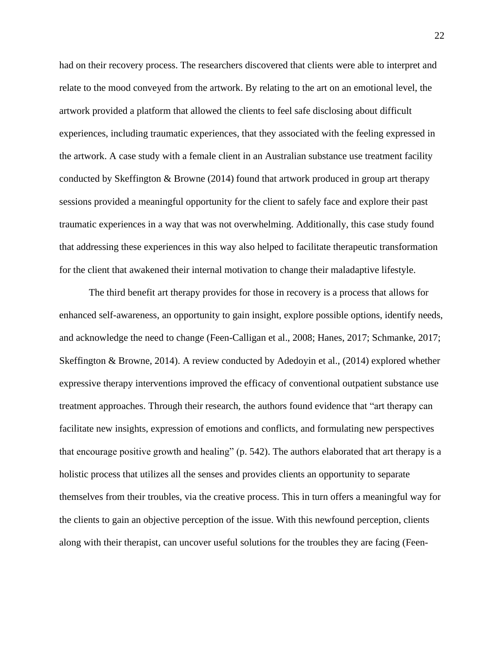had on their recovery process. The researchers discovered that clients were able to interpret and relate to the mood conveyed from the artwork. By relating to the art on an emotional level, the artwork provided a platform that allowed the clients to feel safe disclosing about difficult experiences, including traumatic experiences, that they associated with the feeling expressed in the artwork. A case study with a female client in an Australian substance use treatment facility conducted by Skeffington & Browne (2014) found that artwork produced in group art therapy sessions provided a meaningful opportunity for the client to safely face and explore their past traumatic experiences in a way that was not overwhelming. Additionally, this case study found that addressing these experiences in this way also helped to facilitate therapeutic transformation for the client that awakened their internal motivation to change their maladaptive lifestyle.

The third benefit art therapy provides for those in recovery is a process that allows for enhanced self-awareness, an opportunity to gain insight, explore possible options, identify needs, and acknowledge the need to change (Feen-Calligan et al., 2008; Hanes, 2017; Schmanke, 2017; Skeffington & Browne, 2014). A review conducted by Adedoyin et al., (2014) explored whether expressive therapy interventions improved the efficacy of conventional outpatient substance use treatment approaches. Through their research, the authors found evidence that "art therapy can facilitate new insights, expression of emotions and conflicts, and formulating new perspectives that encourage positive growth and healing" (p. 542). The authors elaborated that art therapy is a holistic process that utilizes all the senses and provides clients an opportunity to separate themselves from their troubles, via the creative process. This in turn offers a meaningful way for the clients to gain an objective perception of the issue. With this newfound perception, clients along with their therapist, can uncover useful solutions for the troubles they are facing (Feen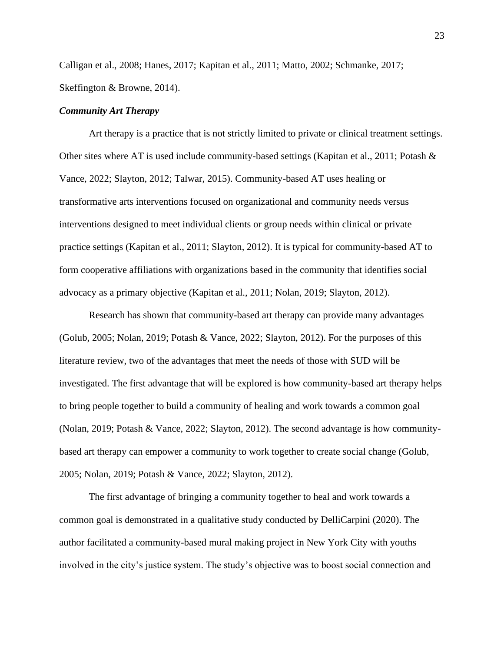Calligan et al., 2008; Hanes, 2017; Kapitan et al., 2011; Matto, 2002; Schmanke, 2017; Skeffington & Browne, 2014).

#### *Community Art Therapy*

Art therapy is a practice that is not strictly limited to private or clinical treatment settings. Other sites where AT is used include community-based settings (Kapitan et al., 2011; Potash  $\&$ Vance, 2022; Slayton, 2012; Talwar, 2015). Community-based AT uses healing or transformative arts interventions focused on organizational and community needs versus interventions designed to meet individual clients or group needs within clinical or private practice settings (Kapitan et al., 2011; Slayton, 2012). It is typical for community-based AT to form cooperative affiliations with organizations based in the community that identifies social advocacy as a primary objective (Kapitan et al., 2011; Nolan, 2019; Slayton, 2012).

Research has shown that community-based art therapy can provide many advantages (Golub, 2005; Nolan, 2019; Potash & Vance, 2022; Slayton, 2012). For the purposes of this literature review, two of the advantages that meet the needs of those with SUD will be investigated. The first advantage that will be explored is how community-based art therapy helps to bring people together to build a community of healing and work towards a common goal (Nolan, 2019; Potash & Vance, 2022; Slayton, 2012). The second advantage is how communitybased art therapy can empower a community to work together to create social change (Golub, 2005; Nolan, 2019; Potash & Vance, 2022; Slayton, 2012).

The first advantage of bringing a community together to heal and work towards a common goal is demonstrated in a qualitative study conducted by DelliCarpini (2020). The author facilitated a community-based mural making project in New York City with youths involved in the city's justice system. The study's objective was to boost social connection and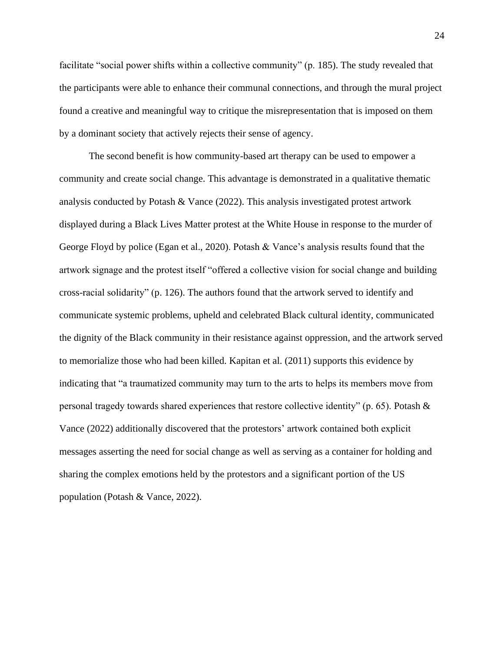facilitate "social power shifts within a collective community" (p. 185). The study revealed that the participants were able to enhance their communal connections, and through the mural project found a creative and meaningful way to critique the misrepresentation that is imposed on them by a dominant society that actively rejects their sense of agency.

The second benefit is how community-based art therapy can be used to empower a community and create social change. This advantage is demonstrated in a qualitative thematic analysis conducted by Potash & Vance (2022). This analysis investigated protest artwork displayed during a Black Lives Matter protest at the White House in response to the murder of George Floyd by police (Egan et al., 2020). Potash & Vance's analysis results found that the artwork signage and the protest itself "offered a collective vision for social change and building cross-racial solidarity" (p. 126). The authors found that the artwork served to identify and communicate systemic problems, upheld and celebrated Black cultural identity, communicated the dignity of the Black community in their resistance against oppression, and the artwork served to memorialize those who had been killed. Kapitan et al. (2011) supports this evidence by indicating that "a traumatized community may turn to the arts to helps its members move from personal tragedy towards shared experiences that restore collective identity" (p. 65). Potash  $\&$ Vance (2022) additionally discovered that the protestors' artwork contained both explicit messages asserting the need for social change as well as serving as a container for holding and sharing the complex emotions held by the protestors and a significant portion of the US population (Potash & Vance, 2022).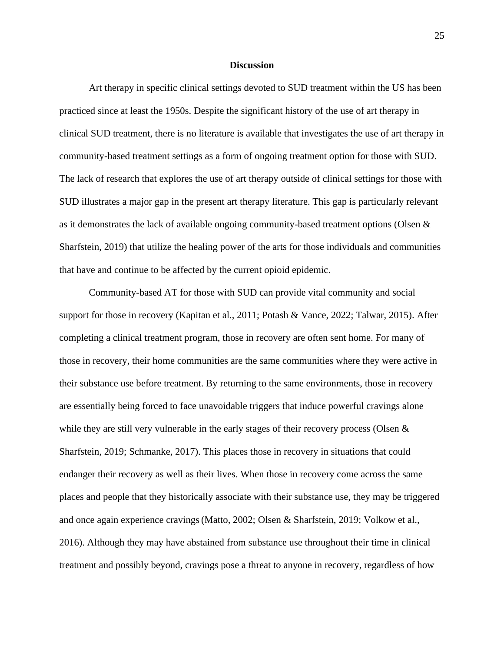#### **Discussion**

Art therapy in specific clinical settings devoted to SUD treatment within the US has been practiced since at least the 1950s. Despite the significant history of the use of art therapy in clinical SUD treatment, there is no literature is available that investigates the use of art therapy in community-based treatment settings as a form of ongoing treatment option for those with SUD. The lack of research that explores the use of art therapy outside of clinical settings for those with SUD illustrates a major gap in the present art therapy literature. This gap is particularly relevant as it demonstrates the lack of available ongoing community-based treatment options (Olsen & Sharfstein, 2019) that utilize the healing power of the arts for those individuals and communities that have and continue to be affected by the current opioid epidemic.

Community-based AT for those with SUD can provide vital community and social support for those in recovery (Kapitan et al., 2011; Potash & Vance, 2022; Talwar, 2015). After completing a clinical treatment program, those in recovery are often sent home. For many of those in recovery, their home communities are the same communities where they were active in their substance use before treatment. By returning to the same environments, those in recovery are essentially being forced to face unavoidable triggers that induce powerful cravings alone while they are still very vulnerable in the early stages of their recovery process (Olsen  $\&$ Sharfstein, 2019; Schmanke, 2017). This places those in recovery in situations that could endanger their recovery as well as their lives. When those in recovery come across the same places and people that they historically associate with their substance use, they may be triggered and once again experience cravings(Matto, 2002; Olsen & Sharfstein, 2019; Volkow et al., 2016). Although they may have abstained from substance use throughout their time in clinical treatment and possibly beyond, cravings pose a threat to anyone in recovery, regardless of how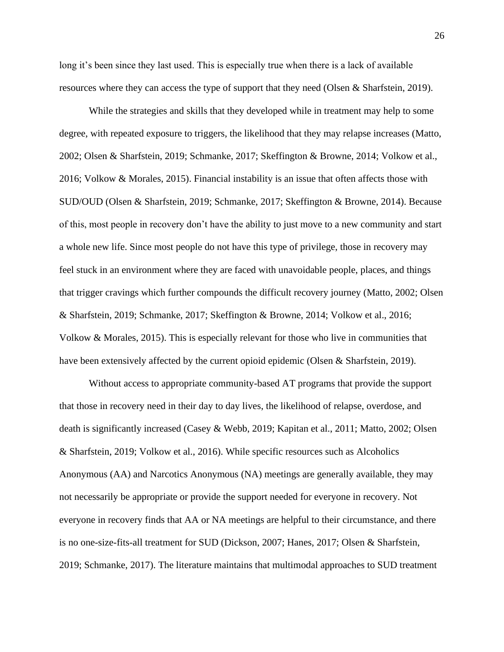long it's been since they last used. This is especially true when there is a lack of available resources where they can access the type of support that they need (Olsen & Sharfstein, 2019).

While the strategies and skills that they developed while in treatment may help to some degree, with repeated exposure to triggers, the likelihood that they may relapse increases (Matto, 2002; Olsen & Sharfstein, 2019; Schmanke, 2017; Skeffington & Browne, 2014; Volkow et al., 2016; Volkow & Morales, 2015). Financial instability is an issue that often affects those with SUD/OUD (Olsen & Sharfstein, 2019; Schmanke, 2017; Skeffington & Browne, 2014). Because of this, most people in recovery don't have the ability to just move to a new community and start a whole new life. Since most people do not have this type of privilege, those in recovery may feel stuck in an environment where they are faced with unavoidable people, places, and things that trigger cravings which further compounds the difficult recovery journey (Matto, 2002; Olsen & Sharfstein, 2019; Schmanke, 2017; Skeffington & Browne, 2014; Volkow et al., 2016; Volkow & Morales, 2015). This is especially relevant for those who live in communities that have been extensively affected by the current opioid epidemic (Olsen & Sharfstein, 2019).

Without access to appropriate community-based AT programs that provide the support that those in recovery need in their day to day lives, the likelihood of relapse, overdose, and death is significantly increased (Casey & Webb, 2019; Kapitan et al., 2011; Matto, 2002; Olsen & Sharfstein, 2019; Volkow et al., 2016). While specific resources such as Alcoholics Anonymous (AA) and Narcotics Anonymous (NA) meetings are generally available, they may not necessarily be appropriate or provide the support needed for everyone in recovery. Not everyone in recovery finds that AA or NA meetings are helpful to their circumstance, and there is no one-size-fits-all treatment for SUD (Dickson, 2007; Hanes, 2017; Olsen & Sharfstein, 2019; Schmanke, 2017). The literature maintains that multimodal approaches to SUD treatment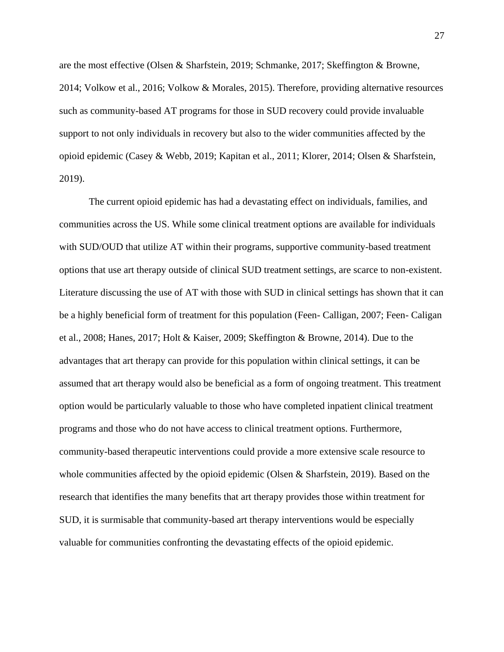are the most effective (Olsen & Sharfstein, 2019; Schmanke, 2017; Skeffington & Browne, 2014; Volkow et al., 2016; Volkow & Morales, 2015). Therefore, providing alternative resources such as community-based AT programs for those in SUD recovery could provide invaluable support to not only individuals in recovery but also to the wider communities affected by the opioid epidemic (Casey & Webb, 2019; Kapitan et al., 2011; Klorer, 2014; Olsen & Sharfstein, 2019).

The current opioid epidemic has had a devastating effect on individuals, families, and communities across the US. While some clinical treatment options are available for individuals with SUD/OUD that utilize AT within their programs, supportive community-based treatment options that use art therapy outside of clinical SUD treatment settings, are scarce to non-existent. Literature discussing the use of AT with those with SUD in clinical settings has shown that it can be a highly beneficial form of treatment for this population (Feen- Calligan, 2007; Feen- Caligan et al., 2008; Hanes, 2017; Holt & Kaiser, 2009; Skeffington & Browne, 2014). Due to the advantages that art therapy can provide for this population within clinical settings, it can be assumed that art therapy would also be beneficial as a form of ongoing treatment. This treatment option would be particularly valuable to those who have completed inpatient clinical treatment programs and those who do not have access to clinical treatment options. Furthermore, community-based therapeutic interventions could provide a more extensive scale resource to whole communities affected by the opioid epidemic (Olsen & Sharfstein, 2019). Based on the research that identifies the many benefits that art therapy provides those within treatment for SUD, it is surmisable that community-based art therapy interventions would be especially valuable for communities confronting the devastating effects of the opioid epidemic.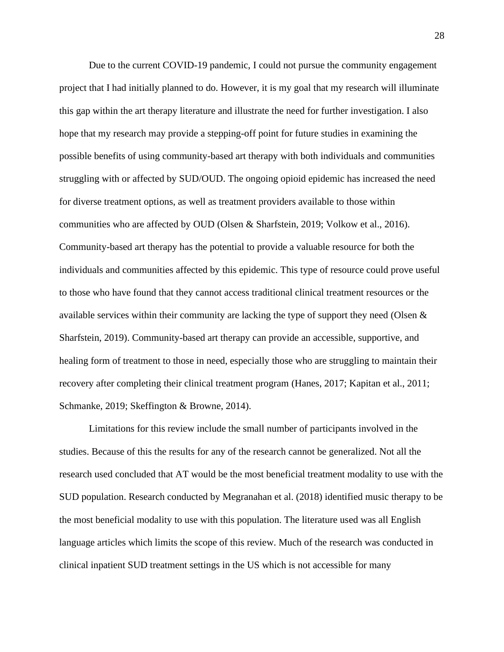Due to the current COVID-19 pandemic, I could not pursue the community engagement project that I had initially planned to do. However, it is my goal that my research will illuminate this gap within the art therapy literature and illustrate the need for further investigation. I also hope that my research may provide a stepping-off point for future studies in examining the possible benefits of using community-based art therapy with both individuals and communities struggling with or affected by SUD/OUD. The ongoing opioid epidemic has increased the need for diverse treatment options, as well as treatment providers available to those within communities who are affected by OUD (Olsen & Sharfstein, 2019; Volkow et al., 2016). Community-based art therapy has the potential to provide a valuable resource for both the individuals and communities affected by this epidemic. This type of resource could prove useful to those who have found that they cannot access traditional clinical treatment resources or the available services within their community are lacking the type of support they need (Olsen  $\&$ Sharfstein, 2019). Community-based art therapy can provide an accessible, supportive, and healing form of treatment to those in need, especially those who are struggling to maintain their recovery after completing their clinical treatment program (Hanes, 2017; Kapitan et al., 2011; Schmanke, 2019; Skeffington & Browne, 2014).

Limitations for this review include the small number of participants involved in the studies. Because of this the results for any of the research cannot be generalized. Not all the research used concluded that AT would be the most beneficial treatment modality to use with the SUD population. Research conducted by Megranahan et al. (2018) identified music therapy to be the most beneficial modality to use with this population. The literature used was all English language articles which limits the scope of this review. Much of the research was conducted in clinical inpatient SUD treatment settings in the US which is not accessible for many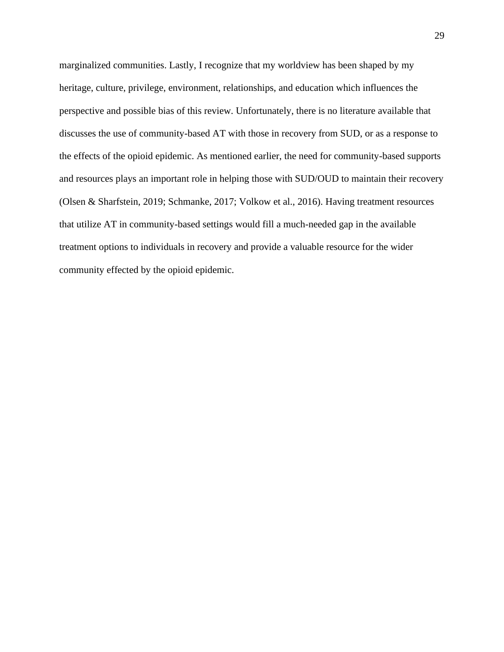marginalized communities. Lastly, I recognize that my worldview has been shaped by my heritage, culture, privilege, environment, relationships, and education which influences the perspective and possible bias of this review. Unfortunately, there is no literature available that discusses the use of community-based AT with those in recovery from SUD, or as a response to the effects of the opioid epidemic. As mentioned earlier, the need for community-based supports and resources plays an important role in helping those with SUD/OUD to maintain their recovery (Olsen & Sharfstein, 2019; Schmanke, 2017; Volkow et al., 2016). Having treatment resources that utilize AT in community-based settings would fill a much-needed gap in the available treatment options to individuals in recovery and provide a valuable resource for the wider community effected by the opioid epidemic.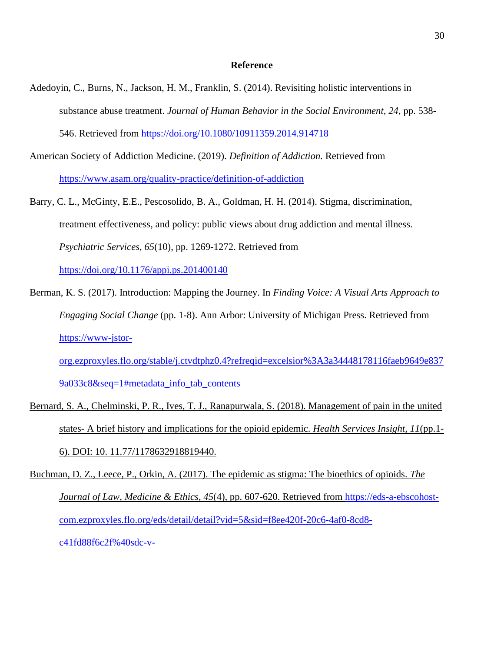#### **Reference**

- Adedoyin, C., Burns, N., Jackson, H. M., Franklin, S. (2014). Revisiting holistic interventions in substance abuse treatment. *Journal of Human Behavior in the Social Environment, 24*, pp. 538- 546. Retrieved from <https://doi.org/10.1080/10911359.2014.914718>
- American Society of Addiction Medicine. (2019). *Definition of Addiction.* Retrieved fro[m](https://www.asam.org/quality-practice/definition-of-addiction) <https://www.asam.org/quality-practice/definition-of-addiction>
- Barry, C. L., McGinty, E.E., Pescosolido, B. A., Goldman, H. H. (2014). Stigma, discrimination, treatment effectiveness, and policy: public views about drug addiction and mental illness. *Psychiatric Services, 65*(10), pp. 1269-1272. Retrieved fro[m](https://doi.org/10.1176/appi.ps.201400140) <https://doi.org/10.1176/appi.ps.201400140>

Berman, K. S. (2017). Introduction: Mapping the Journey. In *Finding Voice: A Visual Arts Approach to Engaging Social Change* (pp. 1-8). Ann Arbor: University of Michigan Press. Retrieved fro[m](https://www-jstor-org.ezproxyles.flo.org/stable/j.ctvdtphz0.4?refreqid=excelsior%3A3a34448178116faeb9649e8379a033c8&seq=1#metadata_info_tab_contents) [https://www-jstor-](https://www-jstor-org.ezproxyles.flo.org/stable/j.ctvdtphz0.4?refreqid=excelsior%3A3a34448178116faeb9649e8379a033c8&seq=1#metadata_info_tab_contents)

[org.ezproxyles.flo.org/stable/j.ctvdtphz0.4?refreqid=excelsior%3A3a34448178116faeb9649e837](https://www-jstor-org.ezproxyles.flo.org/stable/j.ctvdtphz0.4?refreqid=excelsior%3A3a34448178116faeb9649e8379a033c8&seq=1#metadata_info_tab_contents) [9a033c8&seq=1#metadata\\_info\\_tab\\_contents](https://www-jstor-org.ezproxyles.flo.org/stable/j.ctvdtphz0.4?refreqid=excelsior%3A3a34448178116faeb9649e8379a033c8&seq=1#metadata_info_tab_contents)

- Bernard, S. A., Chelminski, P. R., Ives, T. J., Ranapurwala, S. (2018). Management of pain in the united states- A brief history and implications for the opioid epidemic. *Health Services Insight, 11*(pp.1- 6). DOI: 10. 11.77/1178632918819440.
- Buchman, D. Z., Leece, P., Orkin, A. (2017). The epidemic as stigma: The bioethics of opioids. *The Journal of Law, Medicine & Ethics, 45*(4), pp. 607-620. Retrieved from [https://eds-a-ebscohost](https://eds-a-ebscohost-com.ezproxyles.flo.org/eds/detail/detail?vid=5&sid=f8ee420f-20c6-4af0-8cd8-c41fd88f6c2f%40sdc-v-sessmgr03&bdata=JnNpdGU9ZWRzLWxpdmUmc2NvcGU9c2l0ZQ%3d%3d#AN=127270983&db=aph)[com.ezproxyles.flo.org/eds/detail/detail?vid=5&sid=f8ee420f-20c6-4af0-8cd8](https://eds-a-ebscohost-com.ezproxyles.flo.org/eds/detail/detail?vid=5&sid=f8ee420f-20c6-4af0-8cd8-c41fd88f6c2f%40sdc-v-sessmgr03&bdata=JnNpdGU9ZWRzLWxpdmUmc2NvcGU9c2l0ZQ%3d%3d#AN=127270983&db=aph) [c41fd88f6c2f%40sdc-v-](https://eds-a-ebscohost-com.ezproxyles.flo.org/eds/detail/detail?vid=5&sid=f8ee420f-20c6-4af0-8cd8-c41fd88f6c2f%40sdc-v-sessmgr03&bdata=JnNpdGU9ZWRzLWxpdmUmc2NvcGU9c2l0ZQ%3d%3d#AN=127270983&db=aph)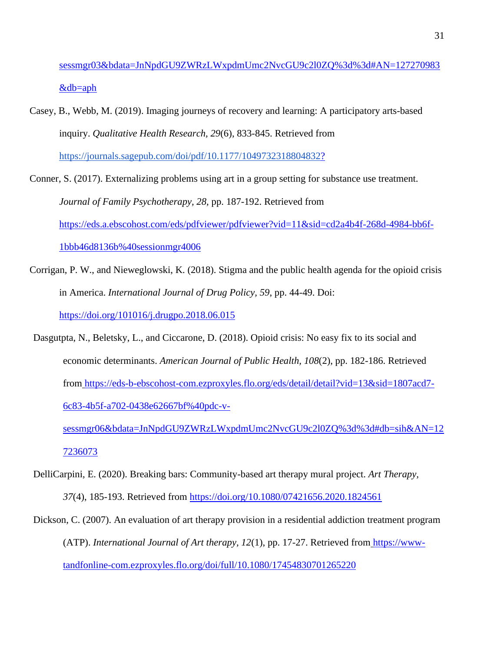[sessmgr03&bdata=JnNpdGU9ZWRzLWxpdmUmc2NvcGU9c2l0ZQ%3d%3d#AN=127270983](https://eds-a-ebscohost-com.ezproxyles.flo.org/eds/detail/detail?vid=5&sid=f8ee420f-20c6-4af0-8cd8-c41fd88f6c2f%40sdc-v-sessmgr03&bdata=JnNpdGU9ZWRzLWxpdmUmc2NvcGU9c2l0ZQ%3d%3d#AN=127270983&db=aph) [&db=aph](https://eds-a-ebscohost-com.ezproxyles.flo.org/eds/detail/detail?vid=5&sid=f8ee420f-20c6-4af0-8cd8-c41fd88f6c2f%40sdc-v-sessmgr03&bdata=JnNpdGU9ZWRzLWxpdmUmc2NvcGU9c2l0ZQ%3d%3d#AN=127270983&db=aph)

Casey, B., Webb, M. (2019). Imaging journeys of recovery and learning: A participatory arts-based inquiry. *Qualitative Health Research, 29*(6), 833-845. Retrieved fro[m](https://journals.sagepub.com/doi/pdf/10.1177/1049732318804832?) <https://journals.sagepub.com/doi/pdf/10.1177/1049732318804832>[?](https://journals.sagepub.com/doi/pdf/10.1177/1049732318804832?)

Conner, S. (2017). Externalizing problems using art in a group setting for substance use treatment. *Journal of Family Psychotherapy, 28,* pp. 187-192. Retrieved fro[m](https://eds.a.ebscohost.com/eds/pdfviewer/pdfviewer?vid=11&sid=cd2a4b4f-268d-4984-bb6f-1bbb46d8136b%40sessionmgr4006) [https://eds.a.ebscohost.com/eds/pdfviewer/pdfviewer?vid=11&sid=cd2a4b4f-268d-4984-bb6f-](https://eds.a.ebscohost.com/eds/pdfviewer/pdfviewer?vid=11&sid=cd2a4b4f-268d-4984-bb6f-1bbb46d8136b%40sessionmgr4006)[1bbb46d8136b%40sessionmgr4006](https://eds.a.ebscohost.com/eds/pdfviewer/pdfviewer?vid=11&sid=cd2a4b4f-268d-4984-bb6f-1bbb46d8136b%40sessionmgr4006)

- Corrigan, P. W., and Nieweglowski, K. (2018). Stigma and the public health agenda for the opioid crisis in America. *International Journal of Drug Policy, 59*, pp. 44-49. Doi[:](https://doi.org/101016/j.drugpo.2018.06.015) <https://doi.org/101016/j.drugpo.2018.06.015>
- Dasgutpta, N., Beletsky, L., and Ciccarone, D. (2018). Opioid crisis: No easy fix to its social and economic determinants. *American Journal of Public Health, 108*(2), pp. 182-186. Retrieved from [https://eds-b-ebscohost-com.ezproxyles.flo.org/eds/detail/detail?vid=13&sid=1807acd7-](https://eds-b-ebscohost-com.ezproxyles.flo.org/eds/detail/detail?vid=13&sid=1807acd7-6c83-4b5f-a702-0438e62667bf%40pdc-v-sessmgr06&bdata=JnNpdGU9ZWRzLWxpdmUmc2NvcGU9c2l0ZQ%3d%3d#db=sih&AN=127236073) [6c83-4b5f-a702-0438e62667bf%40pdc-v-](https://eds-b-ebscohost-com.ezproxyles.flo.org/eds/detail/detail?vid=13&sid=1807acd7-6c83-4b5f-a702-0438e62667bf%40pdc-v-sessmgr06&bdata=JnNpdGU9ZWRzLWxpdmUmc2NvcGU9c2l0ZQ%3d%3d#db=sih&AN=127236073)

[sessmgr06&bdata=JnNpdGU9ZWRzLWxpdmUmc2NvcGU9c2l0ZQ%3d%3d#db=sih&AN=12](https://eds-b-ebscohost-com.ezproxyles.flo.org/eds/detail/detail?vid=13&sid=1807acd7-6c83-4b5f-a702-0438e62667bf%40pdc-v-sessmgr06&bdata=JnNpdGU9ZWRzLWxpdmUmc2NvcGU9c2l0ZQ%3d%3d#db=sih&AN=127236073) [7236073](https://eds-b-ebscohost-com.ezproxyles.flo.org/eds/detail/detail?vid=13&sid=1807acd7-6c83-4b5f-a702-0438e62667bf%40pdc-v-sessmgr06&bdata=JnNpdGU9ZWRzLWxpdmUmc2NvcGU9c2l0ZQ%3d%3d#db=sih&AN=127236073)

- DelliCarpini, E. (2020). Breaking bars: Community-based art therapy mural project. *Art Therapy, 37*(4), 185-193. Retrieved from<https://doi.org/10.1080/07421656.2020.1824561>
- Dickson, C. (2007). An evaluation of art therapy provision in a residential addiction treatment program (ATP). *International Journal of Art therapy, 12*(1), pp. 17-27. Retrieved from [https://www](https://www-tandfonline-com.ezproxyles.flo.org/doi/full/10.1080/17454830701265220)[tandfonline-com.ezproxyles.flo.org/doi/full/10.1080/17454830701265220](https://www-tandfonline-com.ezproxyles.flo.org/doi/full/10.1080/17454830701265220)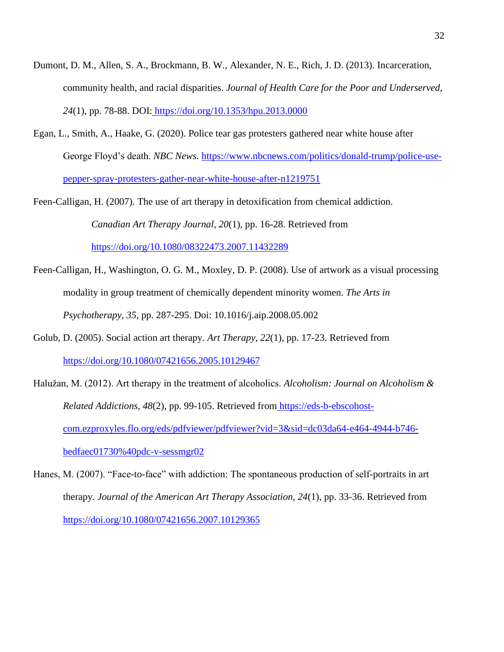- Dumont, D. M., Allen, S. A., Brockmann, B. W., Alexander, N. E., Rich, J. D. (2013). Incarceration, community health, and racial disparities. *Journal of Health Care for the Poor and Underserved, 24*(1), pp. 78-88. DOI: <https://doi.org/10.1353/hpu.2013.0000>
- Egan, L., Smith, A., Haake, G. (2020). Police tear gas protesters gathered near white house after George Floyd's death. *NBC News.* [https://www.nbcnews.com/politics/donald-trump/police-use](https://www.nbcnews.com/politics/donald-trump/police-use-pepper-spray-protesters-gather-near-white-house-after-n1219751)[pepper-spray-protesters-gather-near-white-house-after-n1219751](https://www.nbcnews.com/politics/donald-trump/police-use-pepper-spray-protesters-gather-near-white-house-after-n1219751)
- Feen-Calligan, H. (2007). The use of art therapy in detoxification from chemical addiction. *Canadian Art Therapy Journal, 20*(1), pp. 16-28. Retrieved from <https://doi.org/10.1080/08322473.2007.11432289>
- Feen-Calligan, H., Washington, O. G. M., Moxley, D. P. (2008). Use of artwork as a visual processing modality in group treatment of chemically dependent minority women. *The Arts in Psychotherapy, 35*, pp. 287-295. Doi: 10.1016/j.aip.2008.05.002
- Golub, D. (2005). Social action art therapy. *Art Therapy, 22*(1), pp. 17-23. Retrieved from <https://doi.org/10.1080/07421656.2005.10129467>
- Halužan, M. (2012). Art therapy in the treatment of alcoholics. *Alcoholism: Journal on Alcoholism & Related Addictions, 48*(2), pp. 99-105. Retrieved from [https://eds-b-ebscohost](https://eds-b-ebscohost-com.ezproxyles.flo.org/eds/pdfviewer/pdfviewer?vid=3&sid=dc03da64-e464-4944-b746-bedfaec01730%40pdc-v-sessmgr02)[com.ezproxyles.flo.org/eds/pdfviewer/pdfviewer?vid=3&sid=dc03da64-e464-4944-b746](https://eds-b-ebscohost-com.ezproxyles.flo.org/eds/pdfviewer/pdfviewer?vid=3&sid=dc03da64-e464-4944-b746-bedfaec01730%40pdc-v-sessmgr02) [bedfaec01730%40pdc-v-sessmgr02](https://eds-b-ebscohost-com.ezproxyles.flo.org/eds/pdfviewer/pdfviewer?vid=3&sid=dc03da64-e464-4944-b746-bedfaec01730%40pdc-v-sessmgr02)
- Hanes, M. (2007). "Face-to-face" with addiction: The spontaneous production of self-portraits in art therapy. *Journal of the American Art Therapy Association, 24*(1), pp. 33-36. Retrieved fro[m](https://doi.org/10.1080/07421656.2007.10129365) <https://doi.org/10.1080/07421656.2007.10129365>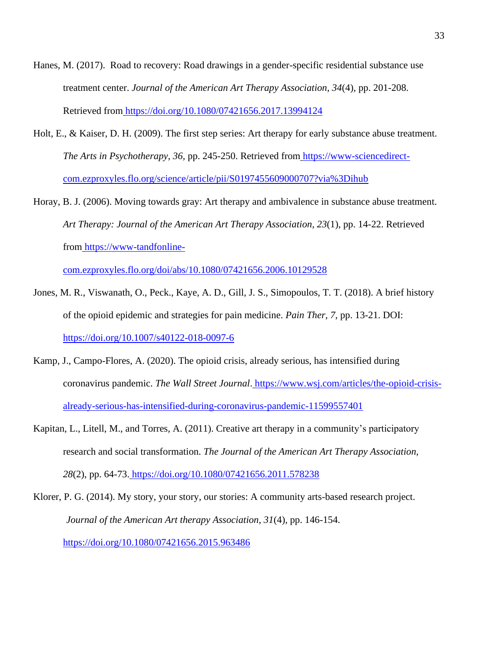- Hanes, M. (2017). Road to recovery: Road drawings in a gender-specific residential substance use treatment center. *Journal of the American Art Therapy Association, 34*(4), pp. 201-208. Retrieved from <https://doi.org/10.1080/07421656.2017.13994124>
- Holt, E., & Kaiser, D. H. (2009). The first step series: Art therapy for early substance abuse treatment. *The Arts in Psychotherapy, 36,* pp. 245-250. Retrieved from [https://www-sciencedirect](https://www-sciencedirect-com.ezproxyles.flo.org/science/article/pii/S0197455609000707?via%3Dihub)[com.ezproxyles.flo.org/science/article/pii/S0197455609000707?via%3Dihub](https://www-sciencedirect-com.ezproxyles.flo.org/science/article/pii/S0197455609000707?via%3Dihub)
- Horay, B. J. (2006). Moving towards gray: Art therapy and ambivalence in substance abuse treatment. *Art Therapy: Journal of the American Art Therapy Association, 23*(1), pp. 14-22. Retrieved from [https://www-tandfonline-](https://www-tandfonline-com.ezproxyles.flo.org/doi/abs/10.1080/07421656.2006.10129528)

[com.ezproxyles.flo.org/doi/abs/10.1080/07421656.2006.10129528](https://www-tandfonline-com.ezproxyles.flo.org/doi/abs/10.1080/07421656.2006.10129528)

- Jones, M. R., Viswanath, O., Peck., Kaye, A. D., Gill, J. S., Simopoulos, T. T. (2018). A brief history of the opioid epidemic and strategies for pain medicine. *Pain Ther, 7*, pp. 13-21. DOI[:](https://doi.org/10.1007/s40122-018-0097-6) <https://doi.org/10.1007/s40122-018-0097-6>
- Kamp, J., Campo-Flores, A. (2020). The opioid crisis, already serious, has intensified during coronavirus pandemic. *The Wall Street Journal*. [https://www.wsj.com/articles/the-opioid-crisis](https://www.wsj.com/articles/the-opioid-crisis-already-serious-has-intensified-during-coronavirus-pandemic-11599557401)[already-serious-has-intensified-during-coronavirus-pandemic-11599557401](https://www.wsj.com/articles/the-opioid-crisis-already-serious-has-intensified-during-coronavirus-pandemic-11599557401)
- Kapitan, L., Litell, M., and Torres, A. (2011). Creative art therapy in a community's participatory research and social transformation. *The Journal of the American Art Therapy Association, 28*(2), pp. 64-73. <https://doi.org/10.1080/07421656.2011.578238>

Klorer, P. G. (2014). My story, your story, our stories: A community arts-based research project. *Journal of the American Art therapy Association, 31*(4), pp. 146-154. <https://doi.org/10.1080/07421656.2015.963486>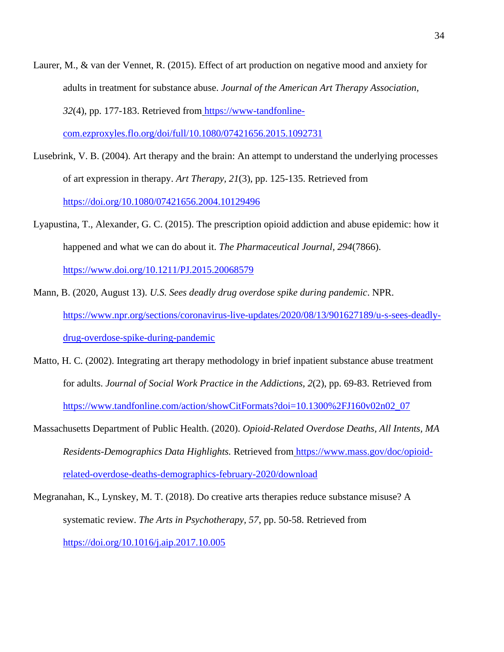- Laurer, M., & van der Vennet, R. (2015). Effect of art production on negative mood and anxiety for adults in treatment for substance abuse. *Journal of the American Art Therapy Association, 32*(4), pp. 177-183. Retrieved from [https://www-tandfonline](https://www-tandfonline-com.ezproxyles.flo.org/doi/full/10.1080/07421656.2015.1092731)[com.ezproxyles.flo.org/doi/full/10.1080/07421656.2015.1092731](https://www-tandfonline-com.ezproxyles.flo.org/doi/full/10.1080/07421656.2015.1092731)
- Lusebrink, V. B. (2004). Art therapy and the brain: An attempt to understand the underlying processes of art expression in therapy. *Art Therapy, 21*(3), pp. 125-135. Retrieved from <https://doi.org/10.1080/07421656.2004.10129496>
- Lyapustina, T., Alexander, G. C. (2015). The prescription opioid addiction and abuse epidemic: how it happened and what we can do about it. *The Pharmaceutical Journal, 294*(7866)[.](https://www.doi.org/10.1211/PJ.2015.20068579) <https://www.doi.org/10.1211/PJ.2015.20068579>
- Mann, B. (2020, August 13). *U.S. Sees deadly drug overdose spike during pandemic*. NPR[.](https://www.npr.org/sections/coronavirus-live-updates/2020/08/13/901627189/u-s-sees-deadly-drug-overdose-spike-during-pandemic) [https://www.npr.org/sections/coronavirus-live-updates/2020/08/13/901627189/u-s-sees-deadly](https://www.npr.org/sections/coronavirus-live-updates/2020/08/13/901627189/u-s-sees-deadly-drug-overdose-spike-during-pandemic)[drug-overdose-spike-during-pandemic](https://www.npr.org/sections/coronavirus-live-updates/2020/08/13/901627189/u-s-sees-deadly-drug-overdose-spike-during-pandemic)
- Matto, H. C. (2002). Integrating art therapy methodology in brief inpatient substance abuse treatment for adults. *Journal of Social Work Practice in the Addictions, 2*(2), pp. 69-83. Retrieved fro[m](https://www.tandfonline.com/action/showCitFormats?doi=10.1300%2FJ160v02n02_07) [https://www.tandfonline.com/action/showCitFormats?doi=10.1300%2FJ160v02n02\\_07](https://www.tandfonline.com/action/showCitFormats?doi=10.1300%2FJ160v02n02_07)
- Massachusetts Department of Public Health. (2020). *Opioid-Related Overdose Deaths, All Intents, MA Residents-Demographics Data Highlights.* Retrieved from [https://www.mass.gov/doc/opioid](https://www.mass.gov/doc/opioid-related-overdose-deaths-demographics-february-2020/download)[related-overdose-deaths-demographics-february-2020/download](https://www.mass.gov/doc/opioid-related-overdose-deaths-demographics-february-2020/download)
- Megranahan, K., Lynskey, M. T. (2018). Do creative arts therapies reduce substance misuse? A systematic review. *The Arts in Psychotherapy, 57*, pp. 50-58. Retrieved fro[m](https://doi.org/10.1016/j.aip.2017.10.005) <https://doi.org/10.1016/j.aip.2017.10.005>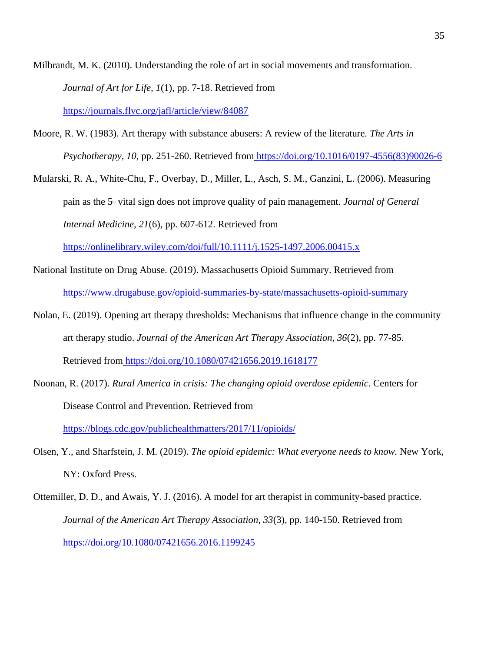Milbrandt, M. K. (2010). Understanding the role of art in social movements and transformation. *Journal of Art for Life, 1*(1), pp. 7-18. Retrieved fro[m](https://journals.flvc.org/jafl/article/view/84087) <https://journals.flvc.org/jafl/article/view/84087>

Moore, R. W. (1983). Art therapy with substance abusers: A review of the literature. *The Arts in Psychotherapy, 10*, pp. 251-260. Retrieved from [https://doi.org/10.1016/0197-4556\(83\)90026-6](https://doi.org/10.1016/0197-4556(83)90026-6)

Mularski, R. A., White-Chu, F., Overbay, D., Miller, L., Asch, S. M., Ganzini, L. (2006). Measuring pain as the 5th vital sign does not improve quality of pain management. *Journal of General Internal Medicine, 21*(6), pp. 607-612. Retrieved fro[m](https://onlinelibrary.wiley.com/doi/full/10.1111/j.1525-1497.2006.00415.x)

<https://onlinelibrary.wiley.com/doi/full/10.1111/j.1525-1497.2006.00415.x>

- National Institute on Drug Abuse. (2019). Massachusetts Opioid Summary. Retrieved fro[m](https://www.drugabuse.gov/opioid-summaries-by-state/massachusetts-opioid-summary) <https://www.drugabuse.gov/opioid-summaries-by-state/massachusetts-opioid-summary>
- Nolan, E. (2019). Opening art therapy thresholds: Mechanisms that influence change in the community art therapy studio. *Journal of the American Art Therapy Association, 36*(2), pp. 77-85. Retrieved from <https://doi.org/10.1080/07421656.2019.1618177>
- Noonan, R. (2017). *Rural America in crisis: The changing opioid overdose epidemic*. Centers for Disease Control and Prevention. Retrieved fro[m](https://blogs.cdc.gov/publichealthmatters/2017/11/opioids/) <https://blogs.cdc.gov/publichealthmatters/2017/11/opioids/>
- Olsen, Y., and Sharfstein, J. M. (2019). *The opioid epidemic: What everyone needs to know.* New York, NY: Oxford Press.
- Ottemiller, D. D., and Awais, Y. J. (2016). A model for art therapist in community-based practice. *Journal of the American Art Therapy Association, 33*(3), pp. 140-150. Retrieved fro[m](https://doi.org/10.1080/07421656.2016.1199245) <https://doi.org/10.1080/07421656.2016.1199245>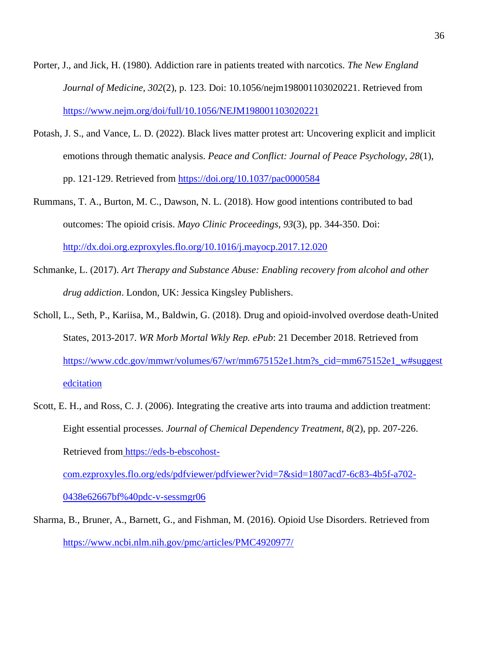- Porter, J., and Jick, H. (1980). Addiction rare in patients treated with narcotics. *The New England Journal of Medicine, 302*(2), p. 123. Doi: 10.1056/nejm198001103020221. Retrieved from https://www.nejm.org/doi/full/10.1056/NEJM198001103020221
- Potash, J. S., and Vance, L. D. (2022). Black lives matter protest art: Uncovering explicit and implicit emotions through thematic analysis. *Peace and Conflict: Journal of Peace Psychology, 28*(1), pp. 121-129. Retrieved from https://doi.org/10.1037/pac0000584
- Rummans, T. A., Burton, M. C., Dawson, N. L. (2018). How good intentions contributed to bad outcomes: The opioid crisis. *Mayo Clinic Proceedings, 93*(3), pp. 344-350. Doi: http://dx.doi.org.ezproxyles.flo.org/10.1016/j.mayocp.2017.12.020
- Schmanke, L. (2017). *Art Therapy and Substance Abuse: Enabling recovery from alcohol and other drug addiction*. London, UK: Jessica Kingsley Publishers.
- Scholl, L., Seth, P., Kariisa, M., Baldwin, G. (2018). Drug and opioid-involved overdose death-United States, 2013-2017. *WR Morb Mortal Wkly Rep. ePub*: 21 December 2018. Retrieved from https://www.cdc.gov/mmwr/volumes/67/wr/mm675152e1.htm?s\_cid=mm675152e1\_w#suggest edcitation
- Scott, E. H., and Ross, C. J. (2006). Integrating the creative arts into trauma and addiction treatment: Eight essential processes. *Journal of Chemical Dependency Treatment, 8*(2), pp. 207-226. Retrieved from https://eds-b-ebscohostcom.ezproxyles.flo.org/eds/pdfviewer/pdfviewer?vid=7&sid=1807acd7-6c83-4b5f-a702- 0438e62667bf%40pdc-v-sessmgr06
- Sharma, B., Bruner, A., Barnett, G., and Fishman, M. (2016). Opioid Use Disorders. Retrieved from https://www.ncbi.nlm.nih.gov/pmc/articles/PMC4920977/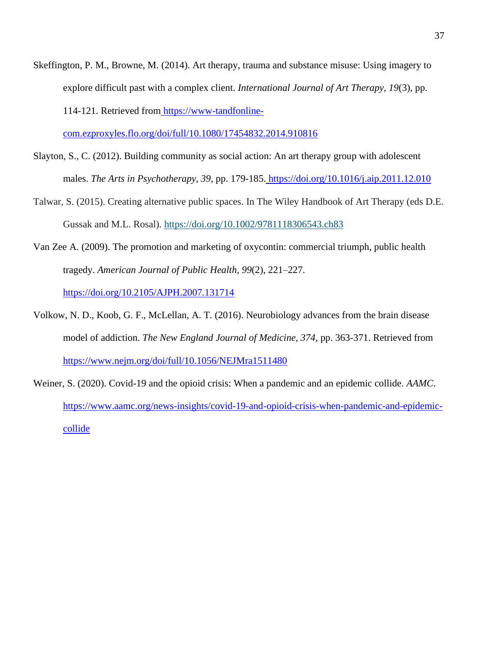Skeffington, P. M., Browne, M. (2014). Art therapy, trauma and substance misuse: Using imagery to explore difficult past with a complex client. *International Journal of Art Therapy, 19*(3), pp. 114-121. Retrieved from https://www-tandfonline-

com.ezproxyles.flo.org/doi/full/10.1080/17454832.2014.910816

- Slayton, S., C. (2012). Building community as social action: An art therapy group with adolescent males. *The Arts in Psychotherapy, 39*, pp. 179-185. https://doi.org/10.1016/j.aip.2011.12.010
- Talwar, S. (2015). Creating alternative public spaces. In The Wiley Handbook of Art Therapy (eds D.E. Gussak and M.L. Rosal). https://doi.org/10.1002/9781118306543.ch83
- Van Zee A. (2009). The promotion and marketing of oxycontin: commercial triumph, public health tragedy. *American Journal of Public Health*, *99*(2), 221–227. https://doi.org/10.2105/AJPH.2007.131714
- Volkow, N. D., Koob, G. F., McLellan, A. T. (2016). Neurobiology advances from the brain disease model of addiction. *The New England Journal of Medicine, 374,* pp. 363-371. Retrieved from https://www.nejm.org/doi/full/10.1056/NEJMra1511480
- Weiner, S. (2020). Covid-19 and the opioid crisis: When a pandemic and an epidemic collide. *AAMC*. https://www.aamc.org/news-insights/covid-19-and-opioid-crisis-when-pandemic-and-epidemiccollide